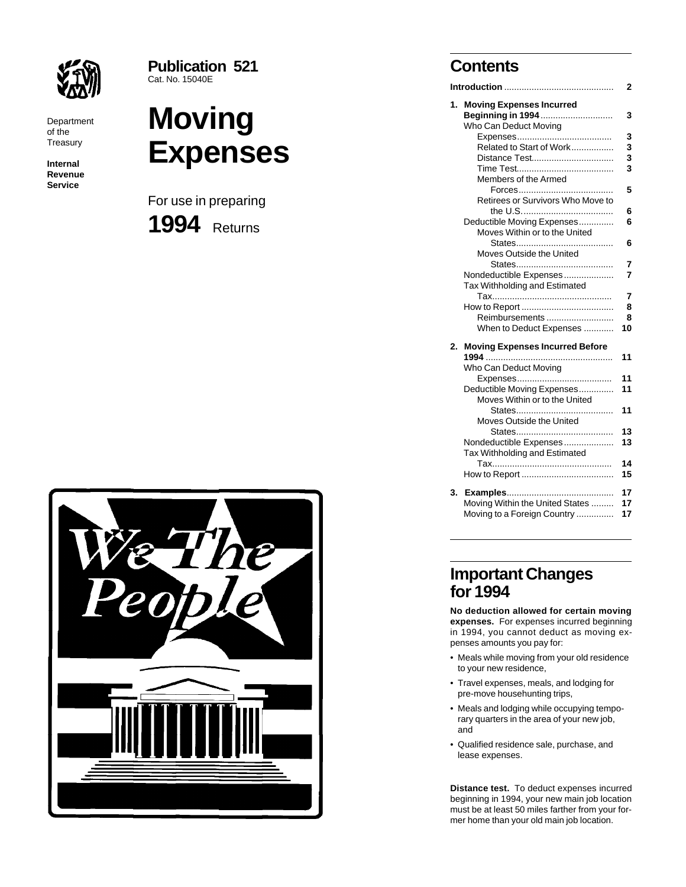

## **Publication 521 Contents** Cat. No. 15040E

## Department **Moving**<br>
Treasury **Can Deduct Moving Expenses**



|                                                                    |                                  | $\mathbf{2}$                                                                                                                                           |
|--------------------------------------------------------------------|----------------------------------|--------------------------------------------------------------------------------------------------------------------------------------------------------|
| Department<br>of the<br>Treasury<br>Internal<br>Revenue<br>Service | <b>Moving</b><br><b>Expenses</b> | 1. Moving Expenses Incurred<br>Beginning in 1994<br>3<br>Who Can Deduct Moving<br>3<br>Related to Start of Work<br>3<br>3<br>3<br>Members of the Armed |
|                                                                    | For use in preparing             | 5<br>Retirees or Survivors Who Move to                                                                                                                 |
|                                                                    | 1994<br>Returns                  | 6<br>Deductible Moving Expenses<br>6<br>Moves Within or to the United                                                                                  |
|                                                                    |                                  | 6<br>Moves Outside the United<br>7                                                                                                                     |
|                                                                    |                                  | $\overline{7}$<br>Nondeductible Expenses<br>Tax Withholding and Estimated                                                                              |
|                                                                    |                                  | 7<br>8<br>Reimbursements<br>-8                                                                                                                         |
|                                                                    |                                  | When to Deduct Expenses  10                                                                                                                            |
|                                                                    |                                  | 2. Moving Expenses Incurred Before                                                                                                                     |
|                                                                    |                                  | Who Can Deduct Moving                                                                                                                                  |
|                                                                    |                                  | Deductible Moving Expenses 11<br>Moves Within or to the United                                                                                         |
|                                                                    |                                  | Moves Outside the United                                                                                                                               |
|                                                                    |                                  | Tax Withholding and Estimated                                                                                                                          |
|                                                                    |                                  |                                                                                                                                                        |
|                                                                    |                                  |                                                                                                                                                        |
|                                                                    |                                  | Moving Within the United States  17                                                                                                                    |
|                                                                    |                                  |                                                                                                                                                        |

## **Important Changes for 1994**

**No deduction allowed for certain moving expenses.** For expenses incurred beginning in 1994, you cannot deduct as moving expenses amounts you pay for:

- Meals while moving from your old residence to your new residence,
- Travel expenses, meals, and lodging for pre-move househunting trips,
- Meals and lodging while occupying temporary quarters in the area of your new job, and
- Qualified residence sale, purchase, and lease expenses.

**Distance test.** To deduct expenses incurred beginning in 1994, your new main job location must be at least 50 miles farther from your former home than your old main job location.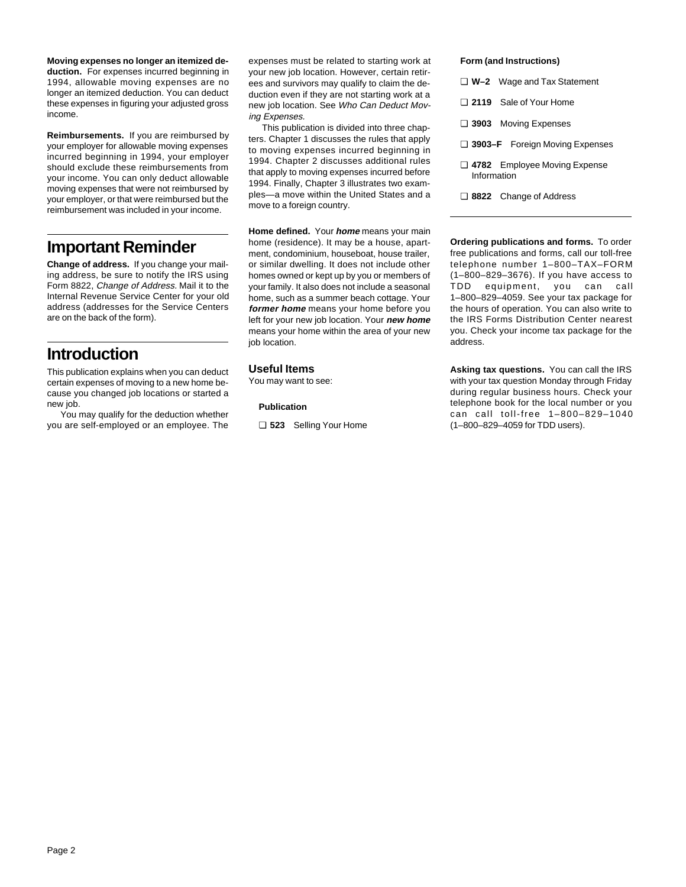**duction.** For expenses incurred beginning in your new job location. However, certain retir-1994, allowable moving expenses are no ees and survivors may qualify to claim the de- ❏ **W–2** Wage and Tax Statement longer an itemized deduction. You can deduct duction even if they are not starting work at a<br>these expenses in figuring your adjusted gross new job location. See Who Can Deduct Movthese expenses in figuring your adjusted gross new job location. See Who Can Deduct Mov-<br>
□ 2119 Sale of Your Home<br>
ing Expenses

your income: Tou can only deduct allowable and the state of the Sillustrates two exam-<br>moving expenses that were not reimbursed by a ples—a move within the United States and a ples and ples—a move to a foreign country.<br>The

## **Introduction**

cause you changed job locations or started a

you are self-employed or an employee. The ❏ **523** Selling Your Home (1–800–829–4059 for TDD users).

**Moving expenses no longer an itemized de-** expenses must be related to starting work at **Form (and Instructions)**

Fraction is divided into three chap-<br> **Reimbursements.** If you are reimbursed by<br>
your employer for allowable moving expenses<br>
incurred beginning in 1994, your employer<br>
should exclude these reimbursements from<br>
your inco

**Home defined.** Your **home** means your main **Important Reminder** home (residence). It may be a house, apart-<br> **Important Reminder** ment, condominium, houseboat, house trailer, free publications and forms, call our toll-free<br> **Change of address.** If you change your m Change of address. If you change your mail- or similar dwelling. It does not include other ing address, be sure to notify the IRS using homes owned or kept up by you or members of (1–800–829–3676). If you have access to Form 8822, Change of Address. Mail it to the your family. It also does not include a seasonal TDD equipment, you can call<br>Internal Revenue Service Center for your old home, such as a summer beach cottage. Your 1-800-829-40 Internal Revenue Service Center for your old home, such as a summer beach cottage. Your 1–800–829–4059. See your tax package for<br>address (addresses for the Service Centers former home means your home before you the hours o address (addresses for the Service Centers **former home** means your home before you the hours of operation. You can also write to left for your new job location. Your new home the IRS Forms Distribution Center nearest means your home within the area of your new you. Check your income tax package for the job location. address.

- 
- 
- 
- 
- 
- 

This publication explains when you can deduct **Useful Items Asking tax questions.** You can call the IRS certain expenses of moving to a new home be-<br>
You may want to see: **A summed to a new home be-** You may want to see: certain expenses of moving to a new home be-<br>
cause you changed job locations or started a<br>
cause you changed job locations or started a<br>
vith your tax question Monday through Friday new job. telephone book for the local number or you **Publication** can call toll-free 1-800-829-1040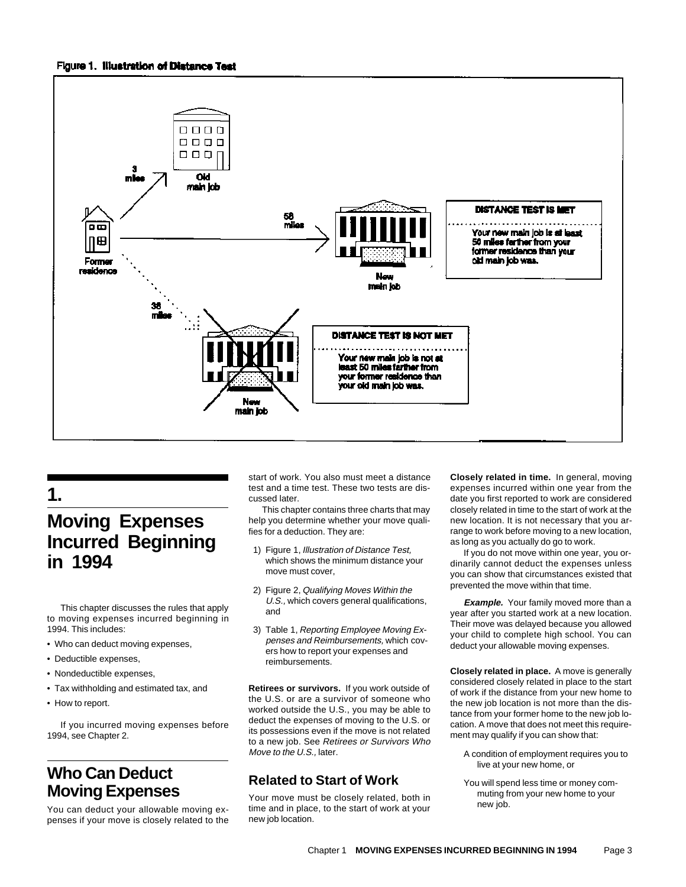### Figure 1. Illustration of Distance Test



# Incurred Beginning<br>in the show of Distance Test,<br>if you do not move within one year, you or which shows the minimum distance your<br>move must cover,<br>which shows the minimum distance your<br>which shows the minimum distance your

- 
- 
- 
- 
- 

## **Who Can Deduct**<br> **Related to Start of Work**<br>
Your move must be closely related, both in The You will spend less time or money com-<br>
Your and in place, to the start of work at your<br>
You can deduct your allowable moving ex-

penses if your move is closely related to the new job location.

This chapter contains three charts that may<br>help you determine whether your move quali-**Moving Expenses** help you determine whether your move quali-<br>respectively. They are:<br>range to work before moving to a new location,

- 
- prevented the move within that time. 2) Figure 2, Qualifying Moves Within the
- 

• Tax withholding and estimated tax, and<br>
• How to report.<br>
If you incurred moving expenses before<br>
1994, see Chapter 2.<br>
The U.S. or are a survivors of someone who<br>
the U.S. you may be able to<br>
the U.S. or are a survivor Move to the U.S., later. A condition of employment requires you to

start of work. You also must meet a distance **Closely related in time.** In general, moving test and a time test. These two tests are dis-<br> **1.** cussed later.<br>
This chapter contains three charts that may closely related in time to the start of work at the considered range to work before moving to a new location,

This chapter discusses the rules that apply<br>to moving expenses incurred beginning in<br>1994. This includes:<br>1994. This includes:<br>1994. Their move was delayed because you allowed<br>1994. Their move was delayed because you allow

• Nondeductible expenses,<br> **Closely related in place.** A move is generally **Francisco and Patinees of a move is a move is a move is considered closely related in place to the start**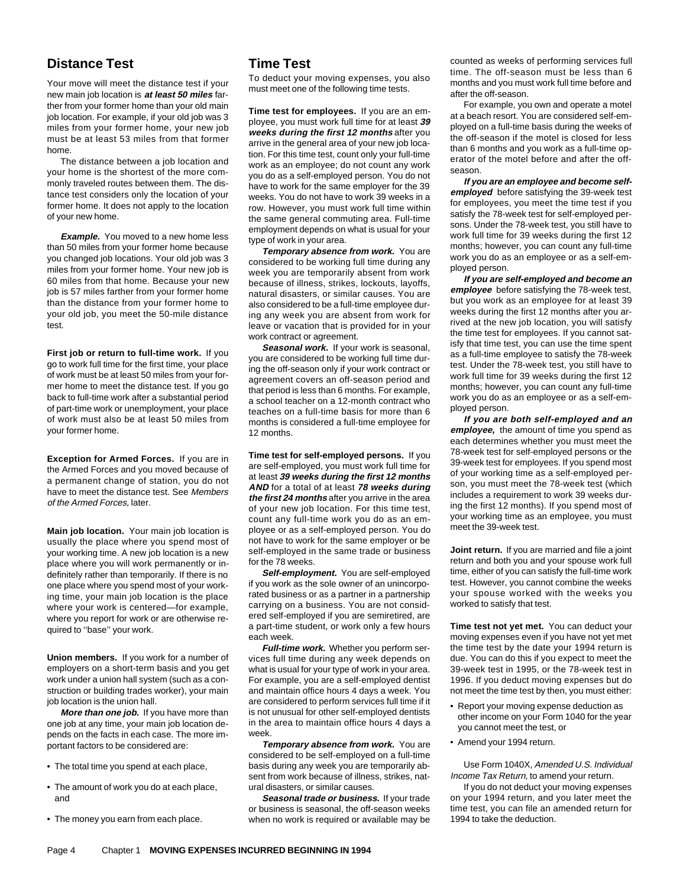you changed job locations. Your old job was 3<br>miles from your former home. Your new job is<br>60 miles from that home. Because your new the be working full time during any<br>intes from that home. Because your new because of ill

of part-time work or unemployment, your place<br>of work must also be at least 50 miles from months is considered a full-time employee for **if you are both self-employed and an** of work must also be at least 50 miles from months is considered a full-time employee for your former home.<br>
12 months.

usually the place where you spend most of not have to work for the same employer or be self-employed in the same trade or business **Joint return.** If you are married and file a joint your working time. A new job location is a new place where you will work permanently or in-<br>definitely rather than temporarily If there is no **Self-employment.** You are self-employed time, either of you can satisfy the full-time work definitely rather than temporarily. If there is no **Self-employment.** You are self-employed time, either of you can satisfy the full-time work definitely rather than temporarily. If there is no **Self-employment.** You are s one place where you spend most of your work-<br>ing time your main job location is the place rated business or as a partner in a partnership your spouse worked with the weeks you ing time, your main job location is the place rated business or as a partner in a partnership your spouse worked w<br>where your work is centered—for example, carrying on a business. You are not consid-<br>where you repert for w where you report for work or are otherwise re-<br>a part-time student, or work only a few hours<br>a part-time student, or work only a few hours

Union members. If you work for a number of vices full time during any week depends on due. You can do this if you expect to meet the employers on a short-term basis and you get what is usual for your type of work in your area. 39-week test in 1995, or the 78-week test in work under a union hall system (such as a con- For example, you are a self-employed dentist 1996. If you deduct moving expenses but do struction or building trades worker), your main and maintain office hours 4 days a week. You not meet the time test by then, you must either:

Temporary absence from work. You are the facts in each case. The more im-<br>portant factors to be considered are: **Temporary absence from work.** You are **Amend your 1994 return.** 

- 
- The amount of work you do at each place,
- 

ther from your former home than your old main<br>
in the test for employees. If you are an em-<br>
in the same miles from your former home, if you near by power and ployee, you must work full time for at least 39<br>
in the sensice

**Exception for Armed Forces.** If you are in<br>the Armed Forces and you moved because of<br>a permanent change of station, you do not<br>a permanent change of station, you do not<br>a permanent change of station, you do not<br>a permane

job location is the union hall. are considered to perform services full time if it<br> **More than one job.** If you have more than is not unusual for other self-employed dentists<br>
one job at any time, your main job location de

considered to be self-employed on a full-time • The total time you spend at each place, basis during any week you are temporarily ab-<br>sent from work because of illness, strikes, nat- Income Tax Return, to amend your return. sent from work because of illness, strikes, nat-<br>ural disasters, or similar causes. The strikes of the outly ou do not deduct your moving expenses

or business is seasonal, the off-season weeks time test, you can file an amended return for • The money you earn from each place. when no work is required or available may be 1994 to take the deduction.

**Distance Test Time Test** counted as weeks of performing services full counted as weeks of performing services full counted as weeks of performing services full property of the counted as weeks of performing services ful time. The off-season must be less than 6 To deduct your moving expenses, you also Your move will meet the distance test if your months and you must work full time before and must meet one of the following time tests. new main job location is **at least 50 miles** far- after the off-season.

than the distance from your former home to<br>your old job, you meet the 50-mile distance<br>test.<br>the state ing any week you are absent from work for<br>the first in the first 12 months after you are the 50-mile distance<br>that is p

12 months. **Examployee, the amount of time you spend as 12 months.** each determines whether you must meet the

a part-time student, or work only a few hours **Time test not yet met.** You can deduct your quired to "base" your work.<br>each week. each week. moving expenses even if you have not yet met **Full-time work.** Whether you perform ser-<br>the time test by the date your 1994 return is

- 
- 

and **Seasonal trade or business.** If your trade on your 1994 return, and you later meet the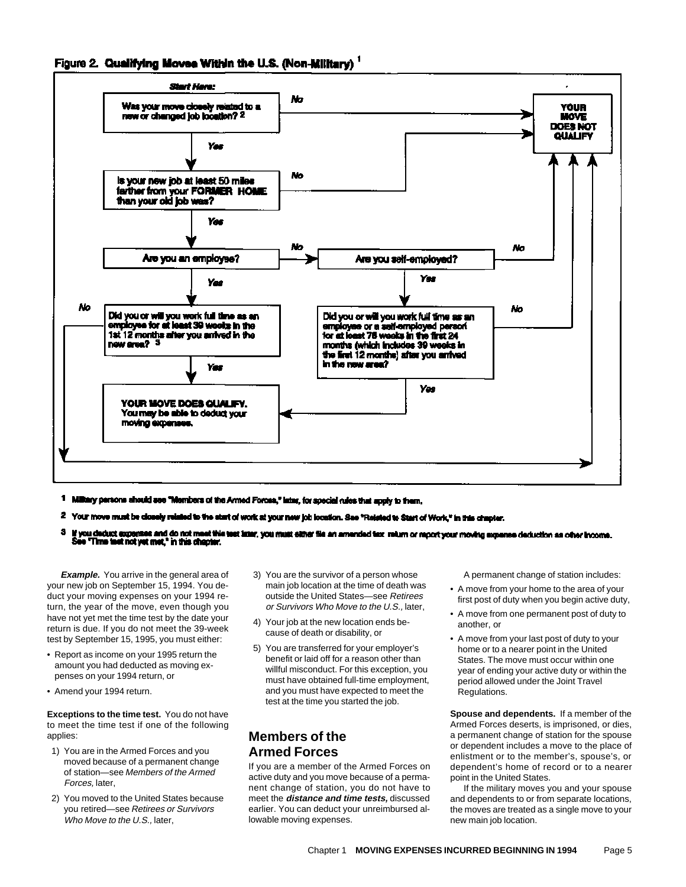Figure 2. Qualifying Moves Within the U.S. (Non-Military)<sup>1</sup>



- Military persons should see "Members of the Armed Forces," later, for special rules that apply to them,
- 2 Your move must be closely related to the start of work at your new job location. See "Related to Start of Work," in this chapter.
- If you deduct experies and do not meet this test later, you must either file an amended tex return or report your moving superse deduction as other income. e "Time test not yet met," in this chapter.

vour new job on September 15, 1994. You demain job location at the time of death was<br>duct your moving expenses on your 1994 re-<br>turn, the year of the move, even though you or Survivors Who Move to the U.S., later,<br>have not

- 
- 

to meet the time test if one of the following

- 
- 
- 
- 
- Amend your 1994 return.  $\blacksquare$  and you must have expected to meet the Regulations. test at the time you started the job.

Who Move to the U.S., later, lowable moving expenses. The main job location.

**Example.** You arrive in the general area of 3) You are the survivor of a person whose A permanent change of station includes:

- 
- 
- Report as income on your 1995 return the benefit or laid off for your employer's home or to a nearer point in the United<br>amount you had deducted as moving ex-<br>penses on your 1994 return, or must have obtained full-time e

**Exceptions to the time test.** You do not have **Spouse and dependents.** If a member of the spouse and dependents. If a member of the spouse and dependents. If a member of the spouse and dependents. If a member of the spous applies:<br>**Members of the** a permanent change of station for the spouse<br>or dependent includes a move to the place of The distance of a permanent change and you **Armed Forces**<br>
Torces and you are a member of the Armed Forces on<br>
of station—see *Members of the Armed*<br>
Forces, later, the *Armed* Forces of a perma-<br>
Forces, later, the *Armed* 

2) You moved to the United States because meet the **distance and time tests,** discussed and dependents to or from separate locations, you retired—see Retirees or Survivors earlier. You can deduct your unreimbursed al-<br>Who Move to the U.S. later. It erally allowable moving expenses. The move main iob location.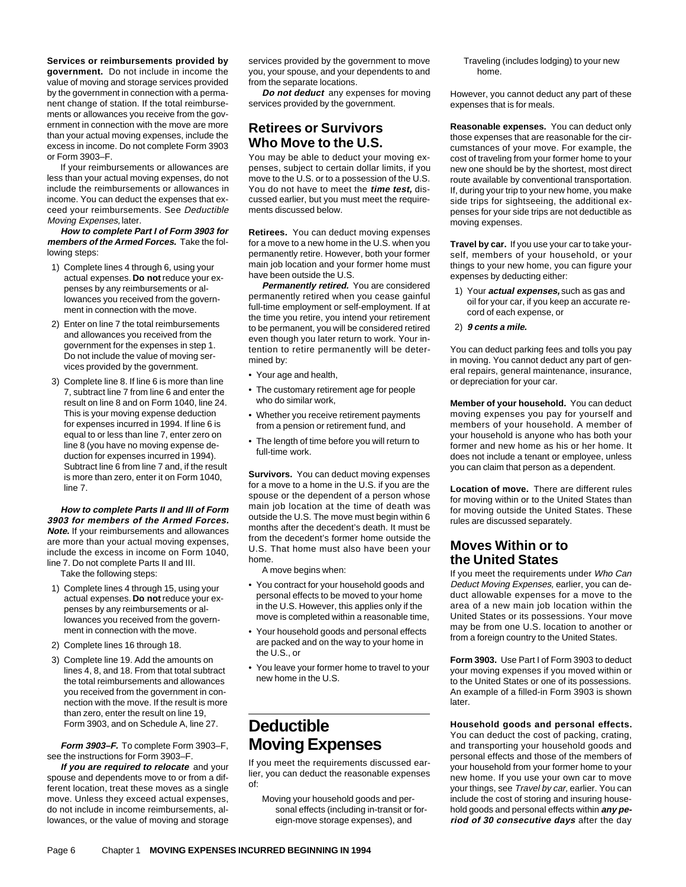Services or reimbursements provided by services provided by the government to move Traveling (includes lodging) to your new **government.** Do not include in income the you, your spouse, and your dependents to and home. value of moving and storage services provided from the separate locations. ments or allowances you receive from the govthan your actual moving expenses, include the those expenses to the  $\mathbf{U}.\mathbf{S}$ .

Moving Expenses, later.<br>**How to complete Part I of Form 3903 for** Retirees. You can deduct moving expenses moving expenses.

- 
- 
- result on line 8 and on Form 1040, line 24. **Who do similar work, Concretive System Member of your household.** You can deduct

include the excess in income on Form 1040, <br>line 7. Do not complete Parts II and III. **home. the United States**<br>Take the following stans: **the United States** A move begins when: If you meet the requirement

- 
- 
- nection with the move. If the result is more later. In the state of the later. than zero, enter the result on line 19,

move. Unless they exceed actual expenses, Moving your household goods and per- include the cost of storing and insuring housedo not include in income reimbursements, al- sonal effects (including in-transit or for- hold goods and personal effects within **any pe**lowances, or the value of moving and storage eign-move storage expenses), and **riod of 30 consecutive days** after the day

by the government in connection with a perma-<br> **Do not deduct** any expenses for moving However, you cannot deduct any part of these<br>
nent change of station. If the total reimburse-<br>
services provided by the government. nent change of station. If the total reimburse-<br>services provided by the government.<br>expenses that is for meals.

**How to complete Part I of Form 3903 for Retirees.** You can deduct moving expenses **members of the Armed Forces.** Take the fol-<br>for a move to a new home in the U.S. when you members of the Armed Forces. Take the fol-<br>lowing steps: example forces. Take the fol-<br>permanently retire. However, both your former self, members of your household, or your

actual expenses. Do not reduce your ex-<br>
permanently retired. You are considered<br>
lowances you received from the govern-<br>
ment in connection with the move.<br>
2) Enter on line 7 the total reimbursements<br>
to be permanently yo

- 
- 7, subtract line 7 from line 6 and enter the The customary retirement age for people<br>result on line 8 and on Form 1040, line 24 who do similar work,
	-
	-

Subtract line 6 from line 7 and, if the result<br>
is more than zero, enter it on Form 1040,<br>
line 7.<br>
Survivors. You can deduct moving expenses<br>
for a move to a home in the U.S. if you are the<br>
spouse or the dependent of a p

- 
- 
- 

ernment in connection with the move are more **Retirees or Survivors Reasonable expenses.** You can deduct only than your actual moving expenses, include the **Retirees or Survivors** thas **Reasonable expenses** that are reas excess in income. Do not complete Form 3903 **WHO MOVE to the U.S.** cumstances of your move. For example, the correction from vour texture or Former home to your move to your move or Former home to your Form 3903–F.<br>If your reimbursements or allowances are expenses, subject to certain dollar limits, if you exerging from your former home to your If your reimbursements or allowances are penses, subject to certain dollar limits, if you new one should be by the shortest, most direct less than your actual moving expenses, do not move to the U.S. or to a possession of less than your actual moving expenses, do not move to the U.S. or to a possession of the U.S. route available by conventional transportation.<br>include the reimbursements or allowances in You do not have to meet the *time te* include the reimbursements or allowances in You do not have to meet the **time test,** dis- If, during your trip to your new home, you make income. You can deduct the expenses that ex-<br>ceed your reimbursements. See *Deductible* ments discussed below.<br>nenses for your side trips are not deductible as penses for your side trips are not deductible as

1) Complete lines 4 through 6, using your main job location and your former home must things to your new home, you can figure your new home, you can figure your things to your new home, you can figure your have been outsid

- 
- 

and allowances you received from the<br>government for the expenses in step 1.<br>Do not include the value of moving ser-<br>limed by:<br>and allowances you received from the<br>mined by:<br>in moving. You can deduct parking fees and tolls

This is your moving expense deduction • Whether you receive retirement payments moving expenses you pay for yourself and<br>for expenses incurred in 1994. If line 6 is from a pension or retirement fund. and members of your ho for expenses incurred in 1994. If line 6 is entity of the members of your household. A member of equal to or less than line 7, enter zero on equal to or less than line 7, enter zero on **exercise to the length of time before** you will return to your household is anyone who has both your<br>Iine 8 (you have no moving expense de-<br>duction for expenses incurred in 1994

Take the following steps: Take the following steps: Take the requirements under Who Can 1) Complete lines 4 through 15, using your <br>actual expenses. Do not reduce your ex-<br>personal effects to be moved to your home duct allowable expenses, earlier, you can de-<br>personal effects to be moved to your home duct all

ment in connection with the move.<br>
2) Complete lines 16 through 18.<br>
3) Complete lines 19. Add the amounts on<br>
2) Complete lines 19. Add the amounts on<br>
3) Complete lines 19. Add the amounts on<br>
3) Complete lines 19. Add t you received from the government in con-<br>  $\blacksquare$  An example of a filled-in Form 3903 is shown

Form 3903, and on Schedule A, line 27. **Deductible Household goods and personal effects.** You can deduct the cost of packing, crating, **Form 3903–F.** To complete Form 3903–F, **Moving Expenses** and transporting your household goods and see the instructions for Form 3903–F. see the instructions for Form 3903–F.<br> **If** you meet the requirements discussed ear-<br> **If** you and dependents move to or from a dif-<br>
form a dif-<br>
ferent location, treat these moves as a single<br>
ferent location, treat thes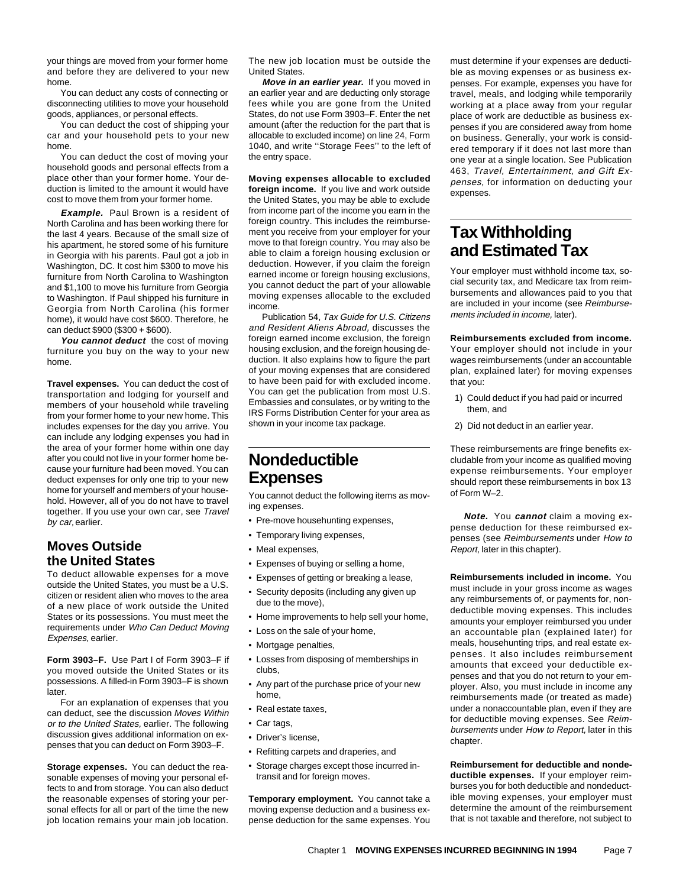and before they are delivered to your new United States. **ble as moving expenses or as business ex**home. **Move in an earlier year.** If you moved in penses. For example, expenses you have for

North Carolina and has been working there for foreign country. This includes the reimburse-<br>the last 4 years. Because of the small size of ment you receive from your employer for your ment your employer for your employer for your<br>the last 4 years. Because of the small size of<br>in a partment, the stored some of this function is apartment of the store of the stored some of the stored some of his furniture<br> In Georgia with his parents. Paul got a job in able to claim a foreign bousing exclusion or **and Estimated Tax** in Georgia with his parents. Paul got a job in able to claim a foreign housing exclusion or **and Estimated Tax** Washington, DC. It cost him \$300 to move his deduction. However, if you claim the foreign<br>furniture from North Carolina to Washington earned income or foreign housing exclusions,<br>and \$1,100 to move his furniture from Georg

**Travel expenses.** You can deduct the cost of the nave been paid for with excluded income. **That you:** transportation and lodging for vourself and You can get the publication from most U.S. transportation and lodging for yourself and<br>
members of your household while traveling<br>
from your former home to your new home. This<br>
includes expenses for the day you arrive. You<br>
shown in your income tax package.<br>
Shown includes expenses for the day you arrive. You can include any lodging expenses you had in the area of your former home within one day<br>after you could not live in your former home be-<br>**Nondeductible** ex-cludable from your income as qualified moving after you could not live in your former home be-<br> **Nonded Unitable 1999** Cause your furniture had been moved. You can<br> **Example 2008** Cause of Development of the expense reimbursements. Your employer cause your furniture had been moved. You can<br>deduct expenses for only one trip to your new<br>home for yourself and members of your house-<br>hold Hourough and members of your house-<br>hold Hourough and the set best to travel

To deduct allowable expenses for a move <br> **Expenses of getting or breaking a lease, Reimbursements included in income.** You outside the United States, you must be a U.S.

the reasonable expenses of storing your per-<br>
Temporary employment. You cannot take a job location remains your main job location. pense deduction for the same expenses. You

your things are moved from your former home The new job location must be outside the must determine if your expenses are deducti-

You can deduct any costs of connecting or an earlier year and are deducting only storage travel, meals, and lodging while temporarily disconnecting utilities to move your household fees while you are gone from the United w goods, appliances, or personal effects. States, do not use Form 3903–F. Enter the net place of work are deductible as business ex-<br>You can deduct the cost of shipping your amount (after the reduction for the part that is p You can deduct the cost of shipping your amount (after the reduction for the part that is penses if you are considered away from home car and your household pets to your new allocable to excluded income) on line 24, Form o

**Example.** Paul Brown is a resident of from income part of the income you earn in the

Publication 54, Tax Guide for U.S. Citizens ments included in income, later).<br>
home), it would have cost \$600. Therefore, he Publication 54, Tax Guide for U.S. Citizens ments included in income, later).<br>
can deduct \$900 (\$

- 
- 
- 
- **the United States**  Expenses of buying or selling a home,
	-
	-
	-
	-
	-
	-
	-
	-
	-
	-
	-
	-

working at a place away from your regular car and your household pets to your new allocable to excluded income) on line 24, Form on business. Generally, your work is considered<br>home.<br>
You can deduct the cost of moving your new the entry space.<br>
Nousehold goods and

You cannot deduct the cost of moving foreign earned income exclusion, the foreign Reimbursements excluded from income.<br>
furniture you buy on the way to your new housing exclusion, and the foreign housing de-<br>
duction. It a home.<br>duction. It also explains how to figure the part wages reimbursements (under an accountable<br>of your moving expenses that are considered and a papilaried later) for moving expenses of your moving expenses that are considered plan, explained later) for moving expenses<br>to have been paid for with excluded income. that you:

- 
- 

hold. However, all of you do not have to travel<br>together. If you use your own car, see *Travel* ing expenses.<br>by car, earlier. **Note.** You cannot claim a moving ex-<br>by car, earlier.<br>**Example and the search of these remburs** • Temporary living expenses, a penses (see *Reimbursements* under How to **Moves Outside Finder Struck of the Move of Activation** of the Meal expenses, and the Report, later in this chapter).

outside the United States, you must be a U.S.<br>
citizen or resident alien who moves to the area<br>
of a new place of work outside the United<br>
States or its possessions. You must meet the<br>
equirements under Who Can Deduct Movi Form 3903-F. Use Part I of Form 3903-F if the United States or its clubs,<br>
possessions. A filled-in Form 3903-F is shown<br>
and that you do not return to your mever of your new penses and that you do not return to your en-<br>

**Storage expenses.** You can deduct the rea-<br>sonable expenses of moving your personal ef-<br>**The analyst consumences** of moving your personal ef-<br>fransit and for foreign moves.<br>**ductible expenses.** If your employer reimsonable expenses of moving your personal ef-<br>
fects to and from storage. You can also deduct<br>
fects to and from storage. You can also deduct fects to and from storage. You can also deduct<br>the reasonable expenses of storing your per-<br>Temporary employment. You cannot take a sail be moving expenses, your employer must sonal effects for all or part of the time the new moving expense deduction and a business ex-<br>iob location remains your main job location. pense deduction for the same expenses. You that is not taxable and therefore, not s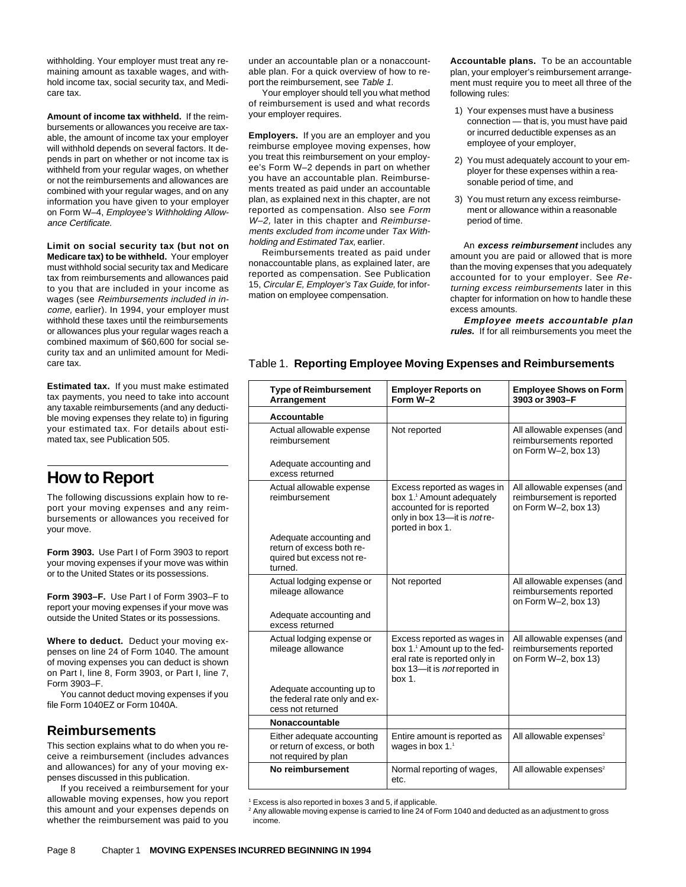maining amount as taxable wages, and with- able plan. For a quick overview of how to re- plan, your employer's reimbursement arrangehold income tax, social security tax, and Medi- port the reimbursement, see Table 1. ment must require you to meet all three of the care tax. Your employer should tell you what method following rules:

**Amount of income tax withheld.** If the reim-<br>bursements or allowances you receive are tax-<br>able, the amount of income tax your employer<br>able, the amount of income tax your employer<br>will withhold depends on several factors pends in part on whether or not income tax is you treat this reimbursement on your employ-<br>
<u>Figure 2</u>) You must adequately account to your emwithheld from your regular wages, on whether ee's Form W–2 depends in part on whether ployer for these expenses within a rea-<br>or not the reimbursements and allowances are vou have an accountable plan. Reimburse-<br>or and a f or not the reimbursements and allowances are you have an accountable plan. Reimburse-<br>combined with your requiar wages, and on any ments treated as paid under an accountable combined with your regular wages, and on any information you have given to your employer plan, as explained next in this chapter, are not 3) You must return any excess reimburse-<br>on Form W-4 Employee's Withholding Allow-reported as compensation. Also see Form ment or on Form W–4, Employee's Withholding Allow- reported as compensation. Also see Form ment or allowance contributio<br>M–2, later in this chapter and Reimburse- period of time. ance Certificate.  $W-2$ , later in this chapter and Reimburse-

tax from reimbursements and allowances paid<br>to you that are included in your income as the surface of the section on the section of the section of the turning excess reimbursements later in this<br>wages (see Beimbursements i wages (see Reimbursements included in in-<br>mation on employee compensation. examplement on how to handle these come, earlier). In 1994, your employer must excess amounts. The excess amounts. withhold these taxes until the reimbursements **Employee meets accountable plan** or allowances plus your regular wages reach a **rules.** If for all reimbursements you meet the combined maximum of \$60,600 for social security tax and an unlimited amount for Medi-

## **How to Report**

If you received a reimbursement for your allowable moving expenses, how you report and rexcess is also reported in boxes 3 and 5, if applicable.<br>this amount and your expenses depends on and allowable moving expense is carried to line 24 of Form 1040 and deducted whether the reimbursement was paid to you income.

of reimbursement is used and what records

ments excluded from income under Tax With-

withholding. Your employer must treat any re- under an accountable plan or a nonaccount- **Accountable plans.** To be an accountable

- 
- 
- 

Limit on social security tax (but not on *holding and Estimated Tax,* earlier. and all waters **are implurement** includes any<br> **Medicare tax) to be withheld.** Your employer Reimbursements treated as paid under must withhold

## care tax. Table 1. **Reporting Employee Moving Expenses and Reimbursements**

| Estimated tax. If you must make estimated<br>tax payments, you need to take into account                                                                                                | <b>Type of Reimbursement</b><br>Arrangement                                     | <b>Employer Reports on</b><br>Form W-2                                                                                                                | <b>Employee Shows on Form</b><br>3903 or 3903-F                                  |
|-----------------------------------------------------------------------------------------------------------------------------------------------------------------------------------------|---------------------------------------------------------------------------------|-------------------------------------------------------------------------------------------------------------------------------------------------------|----------------------------------------------------------------------------------|
| any taxable reimbursements (and any deducti-<br>ble moving expenses they relate to) in figuring                                                                                         | <b>Accountable</b>                                                              |                                                                                                                                                       |                                                                                  |
| your estimated tax. For details about esti-<br>mated tax, see Publication 505.                                                                                                          | Actual allowable expense<br>reimbursement                                       | Not reported                                                                                                                                          | All allowable expenses (and<br>reimbursements reported<br>on Form W-2, box 13)   |
|                                                                                                                                                                                         | Adequate accounting and                                                         |                                                                                                                                                       |                                                                                  |
| <b>How to Report</b>                                                                                                                                                                    | excess returned                                                                 |                                                                                                                                                       |                                                                                  |
| The following discussions explain how to re-<br>port your moving expenses and any reim-<br>bursements or allowances you received for<br>your move.                                      | Actual allowable expense<br>reimbursement                                       | Excess reported as wages in<br>box 1. <sup>1</sup> Amount adequately<br>accounted for is reported<br>only in box 13-it is not re-<br>ported in box 1. | All allowable expenses (and<br>reimbursement is reported<br>on Form W-2, box 13) |
|                                                                                                                                                                                         | Adequate accounting and                                                         |                                                                                                                                                       |                                                                                  |
| Form 3903. Use Part I of Form 3903 to report<br>your moving expenses if your move was within                                                                                            | return of excess both re-<br>quired but excess not re-<br>turned.               |                                                                                                                                                       |                                                                                  |
| or to the United States or its possessions.                                                                                                                                             | Actual lodging expense or                                                       | Not reported                                                                                                                                          | All allowable expenses (and                                                      |
| Form 3903-F. Use Part I of Form 3903-F to                                                                                                                                               | mileage allowance                                                               |                                                                                                                                                       | reimbursements reported<br>on Form W-2, box 13)                                  |
| report your moving expenses if your move was<br>outside the United States or its possessions.                                                                                           | Adequate accounting and<br>excess returned                                      |                                                                                                                                                       |                                                                                  |
| Where to deduct. Deduct your moving ex-<br>penses on line 24 of Form 1040. The amount<br>of moving expenses you can deduct is shown<br>on Part I, line 8, Form 3903, or Part I, line 7, | Actual lodging expense or<br>mileage allowance                                  | Excess reported as wages in<br>box 1. <sup>1</sup> Amount up to the fed-<br>eral rate is reported only in<br>box 13-it is not reported in<br>box 1.   | All allowable expenses (and<br>reimbursements reported<br>on Form W-2, box 13)   |
| Form 3903-F.<br>You cannot deduct moving expenses if you<br>file Form 1040EZ or Form 1040A.                                                                                             | Adequate accounting up to<br>the federal rate only and ex-<br>cess not returned |                                                                                                                                                       |                                                                                  |
|                                                                                                                                                                                         | <b>Nonaccountable</b>                                                           |                                                                                                                                                       |                                                                                  |
| <b>Reimbursements</b>                                                                                                                                                                   | Either adequate accounting                                                      | Entire amount is reported as                                                                                                                          | All allowable expenses <sup>2</sup>                                              |
| This section explains what to do when you re-<br>ceive a reimbursement (includes advances                                                                                               | or return of excess, or both<br>not required by plan                            | wages in box $11$                                                                                                                                     |                                                                                  |
| and allowances) for any of your moving ex-<br>penses discussed in this publication.                                                                                                     | No reimbursement                                                                | Normal reporting of wages,<br>etc.                                                                                                                    | All allowable expenses <sup>2</sup>                                              |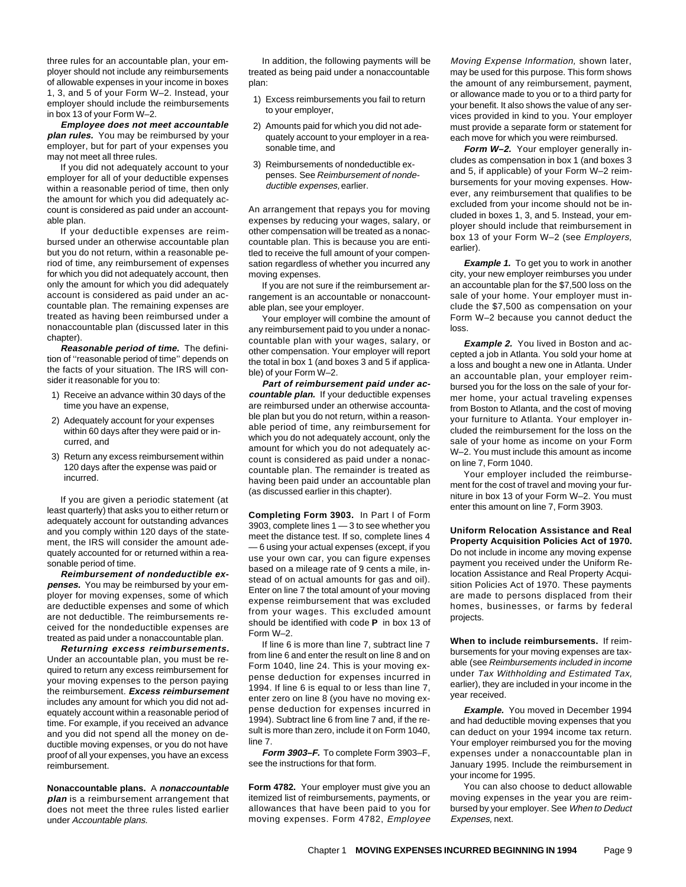three rules for an accountable plan, your em-<br>In addition, the following payments will be Moving Expense Information, shown later, ployer should not include any reimbursements treated as being paid under a nonaccountable may be used for this purpose. This form shows of allowable expenses in your income in boxes plan: the amount of any reimbursement, payment,

- 
- 
- 

time. For example, if you received an advance 1994). Subtract line 6 from line 7 and, if the re- and had deductible moving expenses that you<br>and you did not spend all the money on de- sult is more than zero, include it on proof of all your expenses, you have an excess **Form 3903–F.** To complete Form 3903–F. **Form 3903–F.** To complete heating plan in see the instructions for that form.

**plan** is a reimbursement arrangement that does not meet the three rules listed earlier allowances that have been paid to you for bursed by your employer. See When to Deduct under Accountable plans. The moving expenses. Form 4782, Employee Expenses, next.

- 
- 
- 

nonaccountable plan (discussed later in this any reimbursement paid to you under a nonac- loss.<br>Countable plan with your wanes salary or

courred, and<br>amount for which you do not adequately account, only the said of your home as income<br>3) Return any access reimbursement within<br>120 days after the expense was paid or<br>120 days after the expense was paid or<br>120

1, 3, and 5 of your Form W–2. Instead, your  $\,$  1) Excess reimbursements you fail to return  $\,$  or allowance made to you or to a third party for  $\,$  pour benefit. It also shows the value of any sertion box 13 of your Fo **Employee does not meet accountable** 2) Amounts paid for which you did not ade- must provide a separate form or statement for **plan rules.** You may be reimbursed by your quately account to your employer in a rea-<br>each move

**plan rules.** You may be reimbursed by your quately account to your employer in a rea-<br>employer, but for part of your expenses you sonable time, and<br>may not meet all three rules.<br>If you did not adequately account to your<br>e whim a reasonable period of the term only<br>the amount for which you did adequately ac-<br>the considered as paid under an account-<br>able plan.<br>able plan.<br>If your deductible expenses are reim-<br>ther compensation will be treated a

riod of time, any reimbursement of expenses sation regardless of whether you incurred any **Example 1.** To get you to work in another for which you did not adequately account, then moving expenses. The state of the city, your new employer reimburses you under only the amount for which you did adequately and the you are not sure if the reimbursement ar- an accountable plan for the \$7,500 loss on the account is considered as paid under an ac-<br>account is considered as paid under a account is considered as paid under an ac-<br>
rangement is an accountable or nonaccount-<br>
clude the \$7,500 as compensation on your<br>
clude the \$7,500 as compensation on your countable plan. The remaining expenses are able plan, see your employer. clude the \$7,500 as compensation on your<br>treated as having been reimbursed under a Your employer will combine the amount of Form W-2 because you cann Your employer will combine the amount of Form W–2 because you cannot deduct the

countable plan with your wages, salary, or<br>
the facts of your situation. The IRS will con-<br>
the facts of your situation. The IRS will con-<br>
the facts of your situation. The IRS will con-<br>
the facts of your situation. The I

and you did not spend all the money on de-<br>ductible moving expenses or you do not have line 7.<br>Cour employer reimbursed you for the moving ductible moving expenses, or you do not have line 7.<br>Both 3903–F. To complete Form 3903–F, expenses under a nonaccountable plan in reimbursement. see the instructions for that form. January 1995. Include the reimbursement in your income for 1995.

**Nonaccountable plans.** A **nonaccountable Form 4782.** Your employer must give you an You can also choose to deduct allowable **plan** is a reimbursement arrangement that itemized list of reimbursements, payments, or moving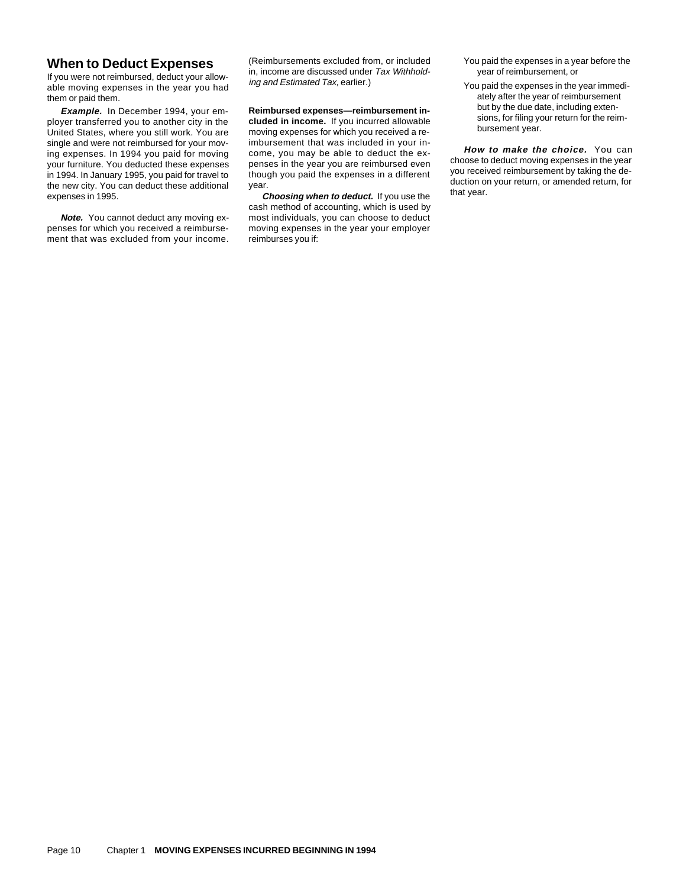If you were not reimbursed, deduct your allow-<br>able moving expenses in the year you had ing and Estimated Tax, earlier.) You paid the expenses in the year immedi-

United States, where you still work. You are moving expenses for which you received a re-<br>single and were not reimbursed for your mov-<br>imbursement that was included in your insingle and were not reimbursed for your mov-<br>ing expenses. In 1994 you paid for moving come, you may be able to deduct the ex-<br>your furniture. You deducted these expenses penses in the year you are reimbursed even<br>in 1994.

penses for which you received a reimburse- moving expenses in the year your employer ment that was excluded from your income. reimburses you if:

**When to Deduct Expenses** (Reimbursements excluded from, or included You paid the expenses in a year before the Vournier or the the expenses in a year before the Vournier or the Vournier or termbursement, or

**Example.** In December 1994, your em-<br>
ployer transferred you to another city in the **cluded in income.** If you incurred allowable<br>
Linited States where you still work. You are moving expenses for which you received a re-<br>

cash method of accounting, which is used by **Note.** You cannot deduct any moving ex- most individuals, you can choose to deduct

- 
- them or paid them.<br>Frample Jp December 1994, your em-<br>Reimbursed expenses—reimbursement in-<br>Frample Jp December 1994, your em-<br>Reimbursed expenses—reimbursement in-<br>but by the due date, including exten-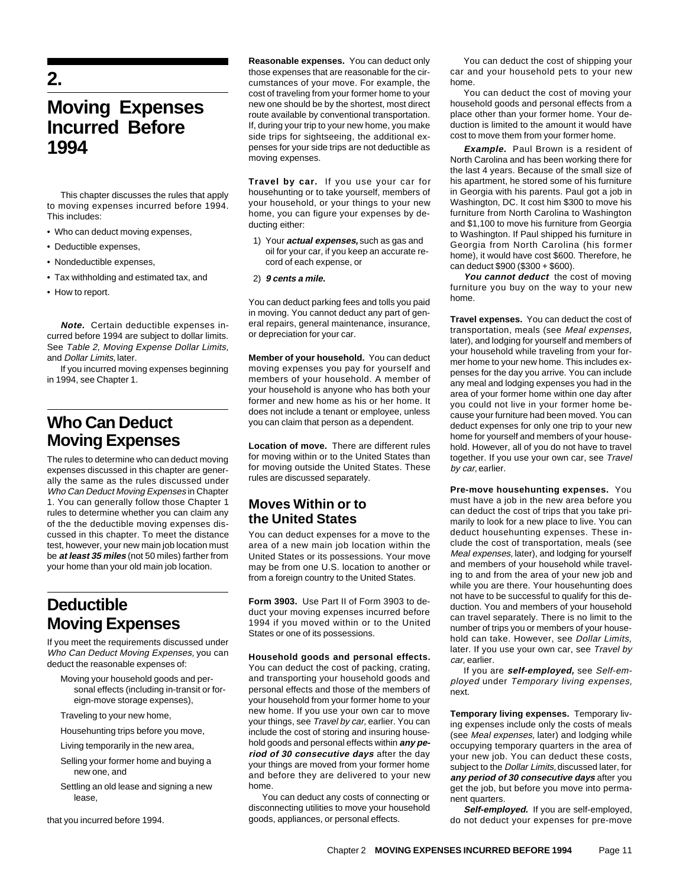- 
- 
- 
- 
- 

expenses discussed in this chapter are gener-<br>ally the same as the rules discussed under rules are discussed separately. ally the same as the rules discussed under Who Can Deduct Moving Expenses in Chapter **Move Can Deduct Act and Chapter Construct** Pre-move househunting expenses. You<br>1. You can generally follow those Chapter 1 **Moves Within or to** must have a job in the new area bef 1. You can generally follow those Chapter 1 **Moves Within or to** multiple to determine whether you can claim any **the allumite of Ctotes** of the the deductible moving expenses dis- **the United States** marily to look for a new place to live. You can cussed in this chapter. To meet the distance You can deduct expenses for a move to the deduct househunting expenses. These in-<br>test, however, your new main job location must area of a new main job location within the clude test, however, your new main job location must area of a new main job location within the clude the cost of transportation, meals (see<br>be at least 35 miles (not 50 miles) farther from United States or its possessions. Your

If you meet the requirements discussed under<br>
Who Can Deduct Moving Expenses, you can<br>
deduct the reasonable expenses of:<br>
Moving your household goods and personal effects.<br>
Moving your household goods and personal effect

- 
- 
- 
- 
- 
- 

**Reasonable expenses.** You can deduct only You can deduct the cost of shipping your those expenses that are reasonable for the cir-<br>car and your household pets to your new<br>cost of traveling from your former home to your<br>You can deduct the cost of moving your<br>Now can deduct the cost of moving your cost of traveling from your former home to your You can deduct the cost of moving your<br>new one should be by the shortest, most direct household goods and personal effects from a **Moving Expenses** new one should be by the shortest, most direct household goods and personal effects from a new one available by conventional transportation. place other than your former home. Your deroute available by conventional transportation. Incurred Before<br> **If**, during your trip to your new home, you make duction is limited to the amount it would have<br>
side trips for sightseeing, the additional ex-<br> **If** the amount it would have<br>
side trips for sightseeing, **1994** penses for your side trips are not deductible as **Example.** Paul Brown is a resident of

This chapter discusses the rules that apply househunting or to take yourself, members of in Georgia with his parents. Paul got a job in<br>to moving expenses incurred before 1994. your household, or your things to your new Wa

- 
- 

furniture How to report.<br>home. Nou can deduct parking fees and tolls you paid home.

**Location of move.** There are different rules for moving within or to the United States than The rules to determine who can deduct moving for moving within or to the United States than together. If you use your own car, see Travel<br>expenses discussed in this chapter are gener-for moving outside the United States. T

ving your household goods and per- and transporting your household goods and ployed under Temporary living expenses, sonal effects (including in-transit or for- personal effects and those of the members of next. eign-move your household from your former home to your Traveling to your new home, https://www.things.see Travel by car, earlier. You can<br>your things, see Travel by car, earlier. You can high expenses include only the costs of meals<br>Househunting trips before you move, high inc

lease, You can deduct any costs of connecting or nent quarters. disconnecting utilities to move your household **Self-employed.** If you are self-employed,

North Carolina and has been working there for the last 4 years. Because of the small size of **Travel by car.** If you use your car for his apartment, he stored some of his furniture • Who can deduct moving expenses,<br>
• Who can deduct moving expenses, all to Muslim and \$1,100 to move his furniture from Georgia<br>
• Deductible expenses, and the structure of the cord of each expense, such as gas and<br>
• Non

• Tax withholding and estimated tax, and **2)** *9 cents a mile.* **You cannot deduct** the cost of moving **a mile.**<br>• How to report

**Note.** Certain deductible expenses in each expenses in the cost of transportation, meals (see Meal expenses incurred before 1994 are subject to dollar limits, the cost of the cost of transportation, meals (see Meal expens Moving Expenses **Moush the Cavid Cover of the Cavid Cover** and members of your house-<br>Location of move. There are different rules hold. However, all of you do not have to travel

can deduct the cost of trips that you take pri-<br>the United States that the whether a new place to live. You can be **at least 35 miles** (not 50 miles) farther from United States or its possessions. Your move Meal expenses, later), and lodging for yourself<br>your home than your old main job location. The may be from one U.S. location to **Deductible**<br> **Moving Expenses**<br> **Moving expenses** incurred before<br>
There is no limit to the<br>
States or one of its possessions.<br>
If you moved within or to the United<br>
If you meet the requirements discussed under<br>
If you me

Living temporarily in the new area,<br>
Selling your former home and buying a<br>
Selling your former home and buying a<br>
new one, and<br>
Selling your former home and buying a<br>
new one, and<br>
Selling your former home<br>
and before the Settling an old lease and signing a new home.<br>Settling an old lease and signing a new home. home home bome into perma-

that you incurred before 1994. goods, appliances, or personal effects. do not deduct your expenses for pre-move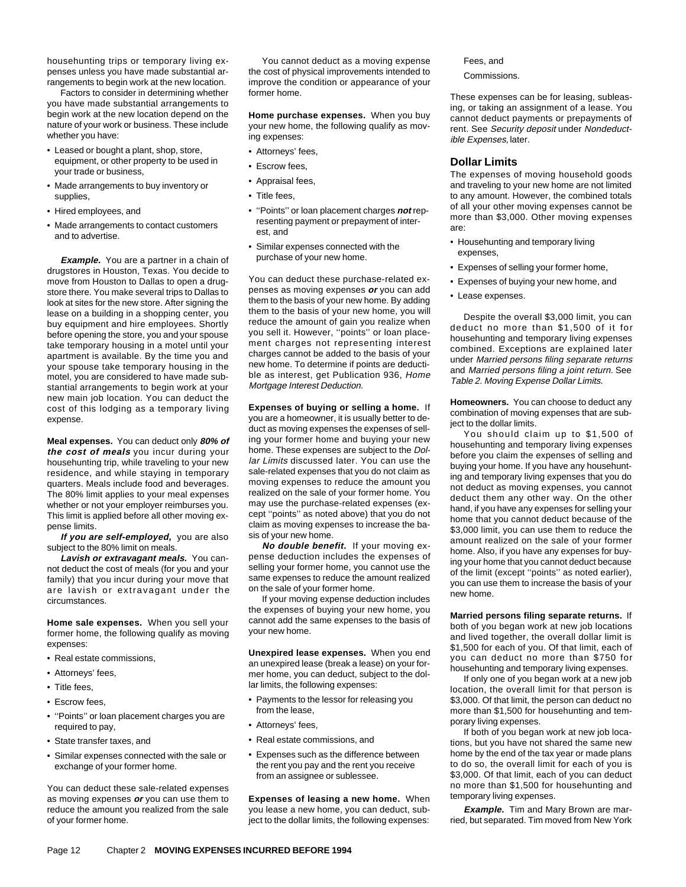househunting trips or temporary living ex-<br>You cannot deduct as a moving expense Fees, and penses unless you have made substantial ar-<br>
rangements to begin work at the new location. 
improve the condition or appearance of your<br>
commissions.

Factors to consider in determining whether former home.<br>you have made substantial arrangements to the **Home purchase expenses.** When you buy ing, or taking an assignment of a lease. You<br>begin work at the new location depen

- Leased or bought a plant, shop, store, Attorneys' fees,
- 
- 
- 

drugstores in Houston, Texas. You decide to<br>move from Houston to Dallas to open a drug-<br>store there You make several trips to Dallas to penses as moving expenses or you can add<br>store there You make several trips to Dallas store there. You make several trips to Dallas to penses as moving expenses **or** you can add<br>look at sites for the new store. After signing the them to the basis of your new home. By adding<br>lease on a building in a shopping motel, you are considered to have made sub-<br>motel, you are considered to have made sub-<br>stantial arrangements to begin work at your Mortgage Interest Deduction.<br>Mortgage Interest Deduction.

are lavish or extravagant under the on the sale of your former home.<br>circumstances. If your moving expense deduction includes

- 
- 
- 
- 
- "Points" or loan placement charges you are from the lease, more than \$1,500 for househunting and tem-<br>
required to pay, expenses exercises and Attorneys' fees, and Real estate commissions, and Real estate commissio
- 
- 

as moving expenses *or* you can use them to **Expenses of leasing a new home.** When

improve the condition or appearance of your

- 
- 
- 
- 
- Hired employees, and<br>
 "Points" or loan placement charges **not** rep-<br>
 Made arrangements to contact customers<br>
and to advertise.<br> **Example.** You are a partner in a chain of<br> **Example.** You are a partner in a chain of<br>
	-

lease on a building in a shopping center, you them to the basis of your new home, you will<br>buy equipment and hire employees. Shortly reduce the amount of gain you realize when<br>before opening the store, you and your spouse

the expenses of buying your new home, you **Married persons filing separate returns.** If

expenses:<br>
• Real estate commissions,<br>
• Attorneys' fees,<br>
• Attorneys' fees,<br>
• Title fees,<br>
• Title fees,<br>
• Title fees,<br>
• Title fees,<br>
• Title fees,<br>
• Title fees,<br>
• Title fees,<br>
• Title fees,<br>
• Title fees,<br>
• Title

- 
- 
- 
- 

reduce the amount you realized from the sale you lease a new home, you can deduct, sub- **Example.** Tim and Mary Brown are marof your former home. ject to the dollar limits, the following expenses: ried, but separated. Tim moved from New York

nature of your work of business. These include your new nome, the following quality as mov-<br>whether you have: ing expenses: ing expenses: ing expenses: ible Expenses, later.

equipment, or other property to be used in<br>
your trade or business,<br>
• Made arrangements to buy inventory or<br>
• Made arrangements to buy inventory or<br>
• Title fees.<br>
• Title fees.<br>
• Title fees.<br>
• Title fees.<br>
• Title fee supplies, examples, the combined totals to any amount. However, the combined totals

- 
- 
- 
- 

mew main job location. You can deduct this lodging as a temporary living<br>
expenses of buying or selling a home. If<br>
expenses. You can choose to deduct any<br>
sexpenses. You can deduct only 80% of<br>
ting your former home and b

**Home sale expenses.** When you sell your cannot add the same expenses to the basis of<br>former home, the following qualify as moving your new home.<br>expenses:<br>expenses:<br>expenses:<br>expenses:<br>expenses:<br>expenses:<br>expenses:<br>expens

• Escrow fees, • Payments to the lessor for releasing you \$3,000. Of that limit, the person can deduct no

• Similar expenses connected with the sale or • Expenses such as the difference between home by the end of the tax year or made plans exchange of your former home. the rent you pay and the rent you receive to do so, the overall limit for each of you is from an assignee or sublessee. \$3,000. Of that limit, each of you can deduct You can deduct these sale-related expenses<br>as moving expenses *or* you can use them to **Expenses of leasing a new home**. When temporary living expenses.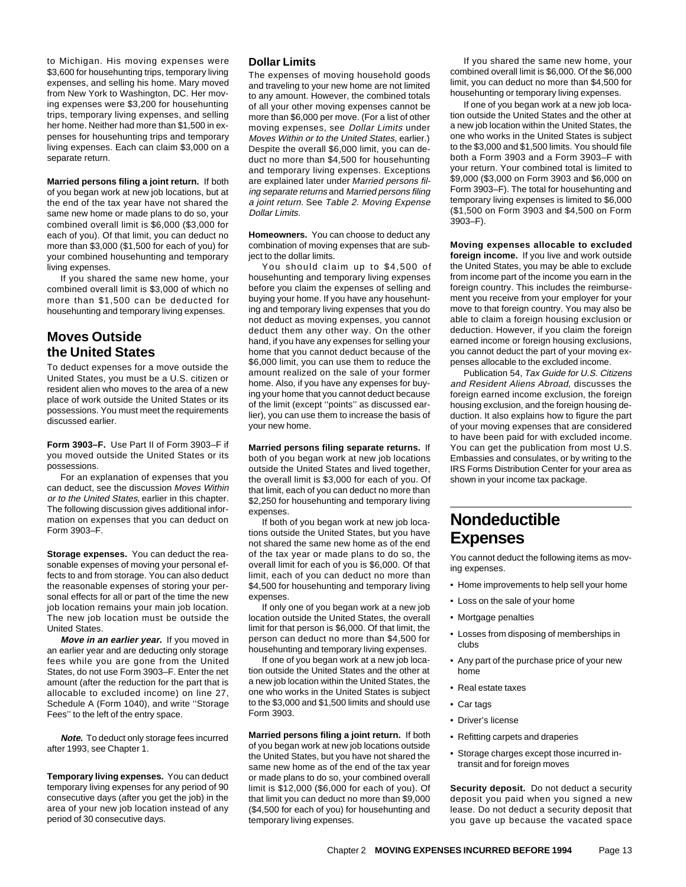to Michigan. His moving expenses were **Dollar Limits If** you shared the same new home, your<br>\$3,600 for househunting trips, temporary living The expenses of moving household goods combined overall limit is \$6,000. Of the \$3,600 for househunting trips, temporary living<br>expenses, and selling his home. Mary moved<br>from New York to Washington, DC. Her mov-<br>ing expenses were \$3,200 for househunting of all your other moving expenses cannot be the trips, temporary living expenses, and selling more than \$6,000 per move. (For a list of other tion outside the United States and the other at<br>her home. Neither had more than \$1,500 in ex-<br>moving expenses see Dollar Limits her home. Neither had more than \$1,500 in ex-<br>penses for househunting trips and temporary<br>Moves Within or to the United States earlier ) one who works in the United States is subject penses for househunting trips and temporary<br>living expenses. Each can claim \$3,000 on a Despite the overall \$6,000 limit you can de-<br>Despite the overall \$6,000 limit you can de-<br>to the \$3,000 and \$1,500 limits. You should living expenses. Each can claim \$3,000 on a Despite the overall \$6,000 limit, you can de- to the \$3,000 and \$1,500 limits. You should file<br>separate return. All of the state of the state of the state of the state of the sta

same new home or made plans to do so, your Dollar Limits.  $(1,500 \text{ cm})$ <br>combined overall limit is \$6,000 (\$3,000 for combined overall limit is \$6,000 (\$3,000 for<br>each of you). Of that limit, you can deduct no **Homeowners.** You can choose to deduct any each of you). Of that limit, you can deduct no

can deduct, see the discussion *Moves Within* that limit, each of you can deduct no more than<br>or to the United States, earlier in this chapter. \$2,250 for househunting and temporary living The following discussion gives additional infor-<br>mation on expenses that you can deduct on the hoth mation on expenses that you can deduct on If both of you began work at new job loca-<br>Form 3903–F.

Storage expenses. You can deduct the rea- of the tax year or made plans to do so, the you cannot deduct the following items as mov-<br>sonable expenses of moving your personal ef- overall limit for each of you is \$6,000. Of t the reasonable expenses of storing your per-<br>\$4,500 for househunting and temporary living • Home improvements to help sell your home sonal effects for all or part of the time the new expenses.<br>
job location remains your main job location. If only one of you began work at a new job The new job location must be outside the location outside the United States, the overall • Mortgage penalties

fees while you are gone from the United If one of you began work at a new job loca- • Any part of the purchase price of your new States, do not use Form 3903–F. Enter the net tion outside the United States and the other at home amount (after the reduction for the part that is a new job location within the United States, the<br>allocable to excluded income) on line 27, one who works in the United States is subject <br>examples to excluded income) on lin Schedule A (Form 1040), and write "Storage to the \$3,000 and \$1,500 limits and should use • Car tags<br>Fees" to the left of the entry space Form 3903. Fees" to the left of the entry space.

**Temporary living expenses.** You can deduct or made plans to do so, your combined overall temporary living expenses for any period of 90 limit is \$12,000 (\$6,000 for each of you). Of

duct no more than \$4,500 for househunting both a Form 3903 and a Form 3903–F with<br>and temporary living expenses. Exceptions your return. Your combined total is limited to and temporary living expenses. Exceptions your return. Your combined total is limited to<br>are explained later under *Married persons fil*- \$9,000 (\$3,000 on Form 3903 and \$6,000 on **Married persons filing a joint return.** If both are explained later under *Married persons fil-* \$9,000 (\$3,000 on Form 3903 and \$6,000 on \$6,000 on in a sensive returns and both and stream and both and stream of Married of you began work at new job locations, but at ing separate returns and Married persons filing Form 3903–F). The total for househunting and the end of the tax year have not shared the a joint return. See Table 2, Moving Ex the end of the tax year have not shared the a joint return. See Table 2. Moving Expense temporary living expenses is limited to \$6,000 the end of the tax year have not shared the a joint return. See Table 2. Moving Expense

If you shared the same new home, your househunting and temporary living expenses from income part of the income you earn in the<br>mbined overall limit is \$3.000 of which no before you claim the expenses of selling and foreig combined overall limit is \$3,000 of which no before you claim the expenses of selling and foreign country. This includes the reimburse-<br>more than \$1,500 can be deducted for buying your home. If you have any househunt- ment more than \$1,500 can be deducted for buying your home. If you have any househunt- ment you receive from your employer for your<br>househunting and temporary living expenses, ing and temporary living expenses that you do move househunting and temporary living expenses. ing and temporary living expenses that you do move to that foreign country. You may also be not deduct as moving expenses, you cannot deduct them any other way. On the other deduction. However, if you claim the foreign and, if you have any expenses for selling your earned income or foreign housing exclusions, **the United States** home that you cannot deduct because of the you cannot deduct the part of your moving ex-<br>To deduct expanses for a may extride the \$6,000 limit, you can use them to reduce the penses allocable to the exc To deduct expenses for a move outside the<br>United States, you must be a U.S. citizen or<br>resident alien who moves to the area of a new<br>place of work outside the United States or its<br>possessions. You must meet the requirement

tions outside the United States, but you have **Expenses** not shared the same new home as of the end

United States.<br>**Move in an earlier year.** If you moved in expression can deduct no more than \$4,500 for **Co**sses from disposing of memberships in<br>an earlier year and are deducting only storage bousehunting and temporary li

**Note.** To deduct only storage fees incurred **Married persons filing a joint return.** If both • Refitting carpets and draperies and traperies of you began work at new job locations outside after 1993, see Chapter 1.<br>the United States, but you have not shared the storage charges except those incurred in-<br>same new home as of the end of the tax year transit and for foreign moves

more than \$3,000 (\$1,500 for each of you) for combination of moving expenses that are sub- **Moving expenses allocable to excluded** your combined househunting and temporary ject to the dollar limits. *foreign income.* If you live and work outside Iiving expenses.<br>If you shared the same new home, your househunting and temporary living expenses from income part of the income you earn in the

Form 3903-F. Use Part II of Form 3903-F if<br>you moved outside the United States or its both of you began work at new job locations<br>possessions.<br>For an explanation of expenses that you that limit is \$3,000 for each of you. O

- 
- 
- 
- 
- 
- 
- 
- Driver's license
- 
- 

temporary living expenses for any period of 90 limit is \$12,000 (\$6,000 for each of you). Of **Security deposit.** Do not deduct a security consecutive days (after you get the job) in the that limit you can deduct no more th that limit you can deduct no more than \$9,000 deposit you paid when you signed a new area of your new job location instead of any (\$4,500 for each of you) for househunting and lease. Do not deduct a security deposit that<br>
period of 30 consecutive days.<br>
temporary living expenses. temporary living expenses. The 30 consecutive days of you gave up because the vacated space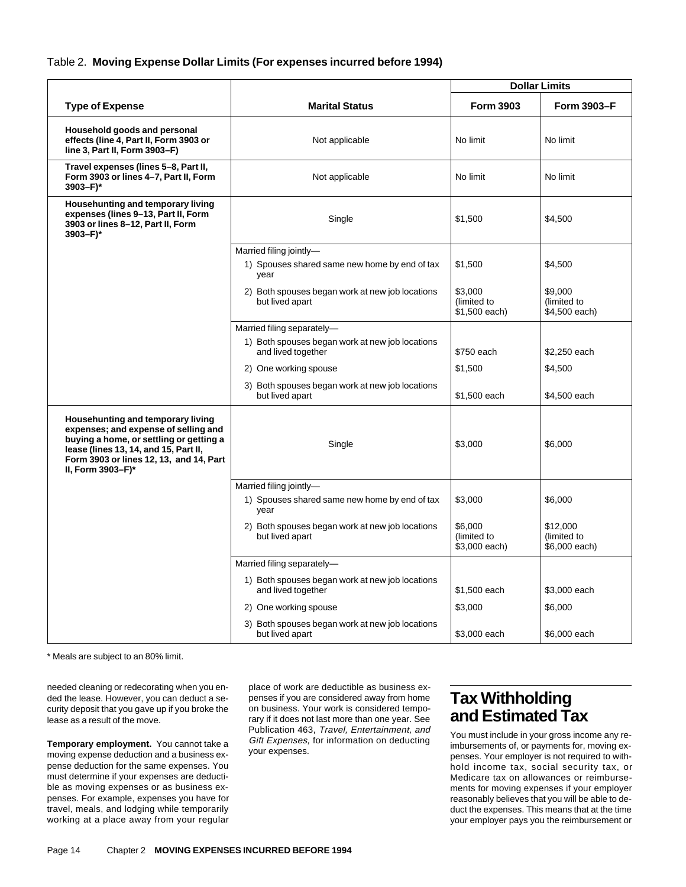## Table 2. **Moving Expense Dollar Limits (For expenses incurred before 1994)**

|                                                                                                                                                                                                                               |                                                                                  | <b>Dollar Limits</b>                    |                                          |
|-------------------------------------------------------------------------------------------------------------------------------------------------------------------------------------------------------------------------------|----------------------------------------------------------------------------------|-----------------------------------------|------------------------------------------|
| <b>Type of Expense</b>                                                                                                                                                                                                        | <b>Marital Status</b>                                                            | <b>Form 3903</b>                        | <b>Form 3903-F</b>                       |
| Household goods and personal<br>effects (line 4, Part II, Form 3903 or<br>line 3, Part II, Form 3903-F)                                                                                                                       | Not applicable                                                                   | No limit                                | No limit                                 |
| Travel expenses (lines 5-8, Part II,<br>Form 3903 or lines 4-7, Part II, Form<br>$3903 - F$ <sup>*</sup>                                                                                                                      | Not applicable                                                                   | No limit                                | No limit                                 |
| Househunting and temporary living<br>expenses (lines 9-13, Part II, Form<br>3903 or lines 8-12, Part II, Form<br>$3903 - F$ <sup>*</sup>                                                                                      | Single                                                                           | \$1,500                                 | \$4,500                                  |
|                                                                                                                                                                                                                               | Married filing jointly-<br>1) Spouses shared same new home by end of tax<br>year | \$1,500                                 | \$4,500                                  |
|                                                                                                                                                                                                                               | 2) Both spouses began work at new job locations<br>but lived apart               | \$3,000<br>(limited to<br>\$1,500 each) | \$9,000<br>(limited to<br>\$4,500 each)  |
|                                                                                                                                                                                                                               | Married filing separately-                                                       |                                         |                                          |
|                                                                                                                                                                                                                               | 1) Both spouses began work at new job locations<br>and lived together            | \$750 each                              | \$2,250 each                             |
|                                                                                                                                                                                                                               | 2) One working spouse                                                            | \$1,500                                 | \$4,500                                  |
|                                                                                                                                                                                                                               | 3) Both spouses began work at new job locations<br>but lived apart               | \$1,500 each                            | \$4,500 each                             |
| Househunting and temporary living<br>expenses; and expense of selling and<br>buying a home, or settling or getting a<br>lease (lines 13, 14, and 15, Part II,<br>Form 3903 or lines 12, 13, and 14, Part<br>II, Form 3903-F)* | Single                                                                           | \$3,000                                 | \$6,000                                  |
|                                                                                                                                                                                                                               | Married filing jointly-<br>1) Spouses shared same new home by end of tax<br>year | \$3,000                                 | \$6,000                                  |
|                                                                                                                                                                                                                               | 2) Both spouses began work at new job locations<br>but lived apart               | \$6,000<br>(limited to<br>\$3,000 each) | \$12,000<br>(limited to<br>\$6,000 each) |
|                                                                                                                                                                                                                               | Married filing separately-                                                       |                                         |                                          |
|                                                                                                                                                                                                                               | 1) Both spouses began work at new job locations<br>and lived together            | \$1,500 each                            | \$3,000 each                             |
|                                                                                                                                                                                                                               | 2) One working spouse                                                            | \$3,000                                 | \$6,000                                  |
|                                                                                                                                                                                                                               | 3) Both spouses began work at new job locations<br>but lived apart               | \$3,000 each                            | \$6,000 each                             |

\* Meals are subject to an 80% limit.

needed cleaning or redecorating when you en-<br>ded the lease. However, you can deduct a se-<br>penses if you are considered away from home ded the lease. However, you can deduct a se-<br>
ded the lease. However, you can deduct a se-<br>
curity deposit that you gave up if you broke the on business. Your work is considered tempo-<br>
lease as a result of the move

moving expense deduction and a business ex-<br>penses. Your employer is not required to with-<br>pense deduction for the same expenses. You must determine if your expenses are deducti-<br>
ble as moving expenses or as business ex-<br>
Medicare tax on allowances or reimburse-<br>
ments for moving expenses if your employer ble as moving expenses or as business ex-<br>
penses. For example, expenses you have for example of the state of the state of the state of the state of the<br>
penses. For example, expenses you have for travel, meals, and lodging while temporarily duct the expenses. This means that at the time working at a place away from your regular your employer pays you the reimbursement or

lease as a result of the move. **rary if it does not last more than one year.** See **Publication 463**, *Travel, Entertainment, and* Publication 463, *Travel, Entertainment, and* 

-ablication 403, *Travel*, *Enertalmment*, *and*<br>Temporary employment. You cannot take a Gift Expenses, for information on deducting<br>moving expenses of or payments for, moving ex-<br>nenses. Your employer is not required to w hold income tax, social security tax, or reasonably believes that you will be able to de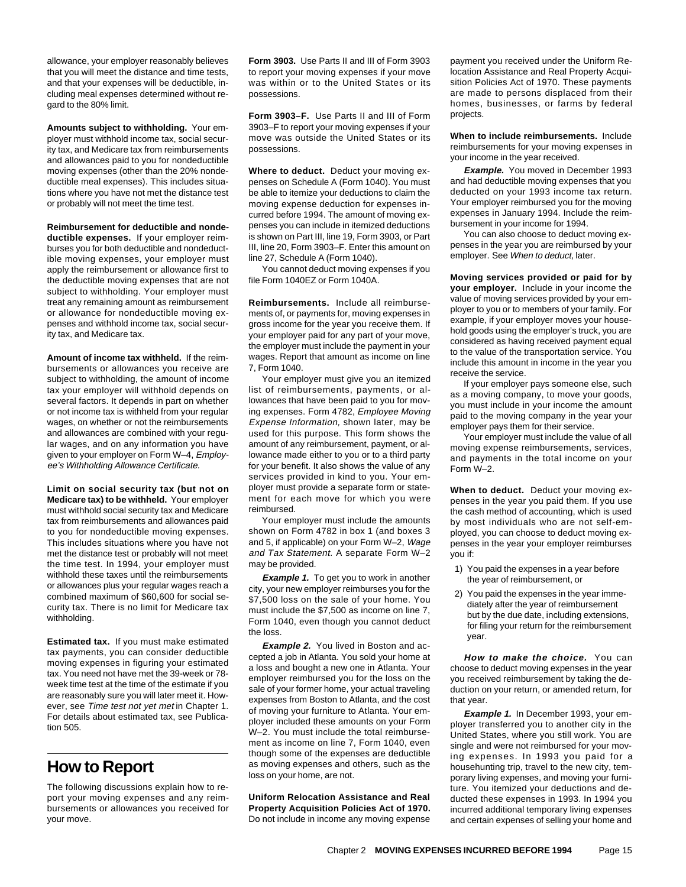gard to the 80% limit. The substitution of the state of the state of the state of the state of the state of the state of the state of the state of the state of the state of the state of the state of the state of the state

move was outside the United States or its **When to include reimbursements.** Include ployer must withhold income tax, social secur-<br>
ity tax and Medicare tax from reimbursements possessions. ity tax, and Medicare tax from reimbursements possessions.<br>and allowances paid to you for nondeductible<br>and allowances paid to you for nondeductible moving expenses (other than the 20% nonde- **Where to deduct.** Deduct your moving ex- **Example.** You moved in December 1993

ible moving expenses, your employer must line 27, Schedule A (Form 1040).<br>apply the reimbursement or allowance first to You cannot deduct moving expenses if you apply the reimbursement or allowance first to You cannot deduct moving expenses if you<br>
the deductible moving expenses that are not file Form 1040EZ or Form 1040A.<br> **your employer.** Include in your income the<br> **your employ** 

or allowance for nondeductible moving ex-<br>
or allowance for nondeductible moving ex-<br>
to gross income for the year you receive them. If<br>
the employer to you or to members of your family. For<br>
the employer and withhold inco

met the distance test or probably will not meet and Tax Statement. A separate Form W-2 vou if:

allowance, your employer reasonably believes **Form 3903.** Use Parts II and III of Form 3903 payment you received under the Uniform Rethat you will meet the distance and time tests, to report your moving expenses if your move location Assistance and Real Property Acquiand that your expenses will be deductible, in- was within or to the United States or its sition Policies Act of 1970. These payments cluding meal expenses determined without re- possessions. The same made to persons displaced from their

**Form 3903–F.** Use Parts II and III of Form projects. **Amounts subject to withholding.** Your em- 3903–F to report your moving expenses if your

ductible meal expenses). This includes situa-<br>
penses on Schedule A (Form 1040). You must and had deductible moving expenses that you tions where you have not met the distance test be able to itemize your deductions to claim the deducted on your 1993 income tax return. or probably will not meet the time test. moving expense deduction for expenses in-<br>curred before 1994. The amount of moving expenses in January 1994. Include the reimcurred before 1994. The amount of moving ex- expenses in January 1994. Include<br>nenses vou can include in itemized deductions bursement in your income for 1994. **Reimbursement for deductible and nonde-** penses you can include in itemized deductions bursement in your income for 1994. ductible expenses. If your employer reim-<br>burses you for both deductible and pondeduct- III, line 20, Form 3903–F. Enter this amount on penses in the year you are reimbursed by your burses you for both deductible and nondeduct-<br>ible moving expenses, your employer must line 27, Schedule A (Form 1040). [1] employer. See When to deduct, later.

given to your employer on Form W–4, *Employ*- lowance made either to you or to a third party and payments in the total income on your ee's Withholding Allowance Certificate.<br>ee's Withholding Allowance Certificate. So the y services provided in kind to you. Your em-**Limit on social security tax (but not on** ployer must provide a separate form or state-<br>**Medicare tax) to be withheld.** Your employer ment for each move for which you were penses in the year you paid them If you use

the time test. In 1994, your employer math as incomparing that in the time test in the time test in the term in the term in the term in the state of allowances plus your regular wages reach a<br>city, your new employer reimbu

port your moving expenses and any reim-<br> **Uniform Relocation Assistance and Paral divides** expenses in 1994 you bursements or allowances you received for **Property Acquisition Policies Act of 1970.** incurred additional temporary living expenses

subject to withholding. Your employer must<br>treat any remaining amount as reimbursement<br>or allowance for nondeductible moving ex-<br>or allowance for nondeductible moving ex-<br>ployer to you or to members of your family. For

**Medicare tax) to be withheld.** Your employer ment for each move for which you were penses in the year you paid them. If you use must withhold social security tax and Medicare reimbursed. must withhold social security tax and Medicare reimbursed.<br>- Your employer must include the amounts by most individuals who are not self-em-<br>tax from reimbursements and allowances paid Your employer must include the amount Your employer must include the amounts by most individuals who are not self-em-<br>shown on Form 4782 in box 1 (and boxes 3 and ployed you can choose to deduct moving exto you for nondeductible moving expenses. shown on Form 4782 in box 1 (and boxes 3 ployed, you can choose to deduct moving ex-<br>This includes situations where you have not and 5, if applicable) on your Form W-2, Wage penses This includes situations where you have not and 5, if applicable) on your Form W–2, Wage penses in the year your employer reimburses met the distance test or probably will not meet and Tax Statement. A separate Form W–2 v

- 
- 

though some of the expenses are deductible ing expenses. In 1993 you paid for a<br>as moving expenses and others, such as the househunting trip, travel to the new city, tem-<br>porary living expenses, and moving your furni-<br>pora The following discussions explain how to re-<br>The following discussions expenses and any reim-<br>Duitor Relocation Assistance and Real ducted these expenses in 1993. In 1994 you your move. Do not include in income any moving expense and certain expenses of selling your home and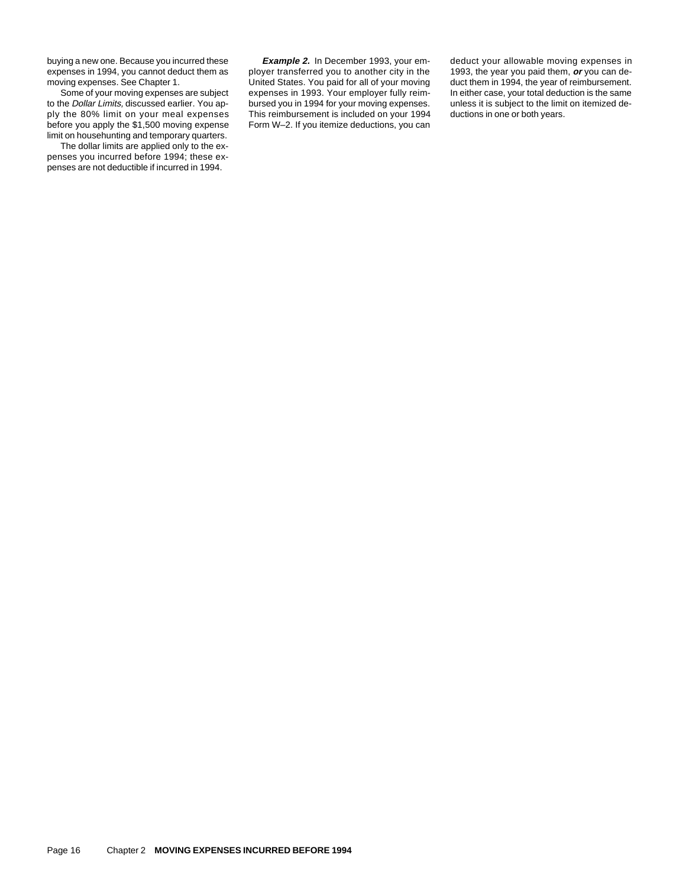buying a new one. Because you incurred these **Example 2.** In December 1993, your em- deduct your allowable moving expenses in expenses in 1994, you cannot deduct them as ployer transferred you to another city in the 1993, the year you paid them, **or** you can demoving expenses. See Chapter 1. United States. You paid for all of your moving duct them in 1994, the year of reimbursement.

before you apply the \$1,500 moving expense Form W-2. If you itemize deductions, you can limit on househunting and temporary quarters.

The dollar limits are applied only to the expenses you incurred before 1994; these expenses are not deductible if incurred in 1994.

Some of your moving expenses are subject expenses in 1993. Your employer fully reim-<br>to the Dollar Limits, discussed earlier. You ap-<br>bursed you in 1994 for your moving expenses. unless it is subject to the limit on itemiz bursed you in 1994 for your moving expenses. ply the 80% limit on your meal expenses This reimbursement is included on your 1994 ductions in one or both years.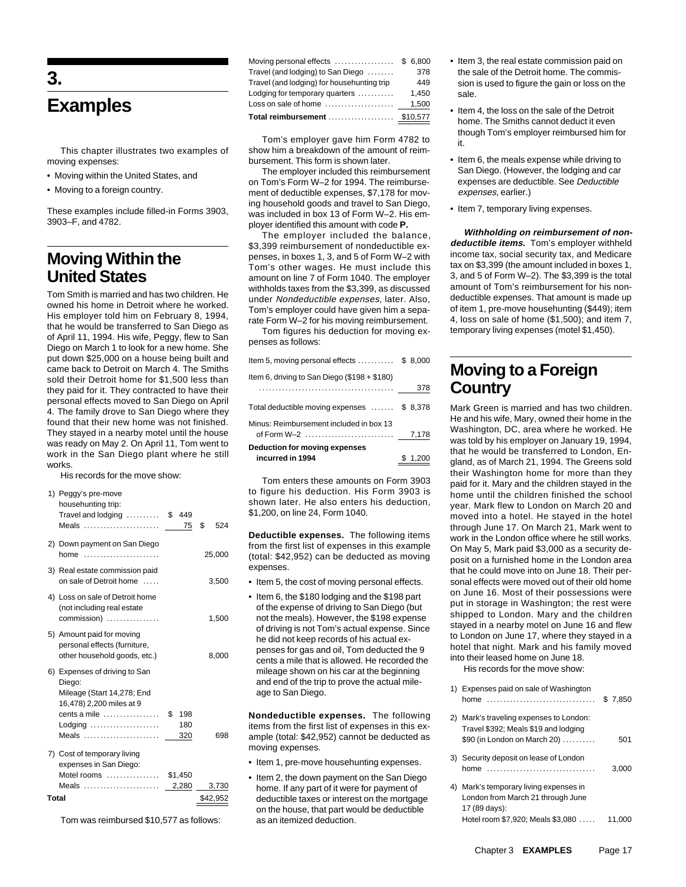- 
- 

Tom Smith is married and has two children. He<br>owned his home in Detroit where he worked.<br>His employer told him on February 8, 1994,<br>that he would be transferred to San Diego as Tom is employer could have given him a sepa-<br> put down \$25,000 on a house being built and came back to Detroit on March 4. The Smiths came back to Detroit on March 4. The Smiths<br>sold their Detroit home for \$1,500 less than<br>they paid for it. They contracted to have their<br>personal effects moved to San Diego on April personal effects moved to San Diego on April<br>4. The family drove to San Diego where they and that their new home was not finished. Minus: Reimbursement included in box 13<br>1. They stayed in a nearby motel until the house of

| 1) Peggy's pre-move<br>househunting trip:<br>Travel and lodging  \$449<br>Meals                                   | 75                      | 524<br>S. | to rigure his deduction. His Form 3903 is<br>shown later. He also enters his deduction,<br>\$1,200, on line 24, Form 1040.                                                                | home until the children finished the school<br>year. Mark flew to London on March 20 and<br>moved into a hotel. He stayed in the hotel<br>through June 17. On March 21, Mark went to               |
|-------------------------------------------------------------------------------------------------------------------|-------------------------|-----------|-------------------------------------------------------------------------------------------------------------------------------------------------------------------------------------------|----------------------------------------------------------------------------------------------------------------------------------------------------------------------------------------------------|
| 2) Down payment on San Diego<br>home<br>3) Real estate commission paid                                            |                         | 25,000    | Deductible expenses. The following items<br>from the first list of expenses in this example<br>(total: \$42,952) can be deducted as moving<br>expenses.                                   | work in the London office where he still works.<br>On May 5, Mark paid \$3,000 as a security de-<br>posit on a furnished home in the London area<br>that he could move into on June 18. Their per- |
| on sale of Detroit home                                                                                           |                         | 3,500     | • Item 5, the cost of moving personal effects.                                                                                                                                            | sonal effects were moved out of their old home                                                                                                                                                     |
| 4) Loss on sale of Detroit home<br>(not including real estate<br>$common)$                                        |                         | 1,500     | • Item 6, the \$180 lodging and the \$198 part<br>of the expense of driving to San Diego (but<br>not the meals). However, the \$198 expense                                               | on June 16. Most of their possessions were<br>put in storage in Washington; the rest were<br>shipped to London. Mary and the children<br>stayed in a nearby motel on June 16 and flew              |
| 5) Amount paid for moving<br>personal effects (furniture,<br>other household goods, etc.)                         |                         | 8,000     | of driving is not Tom's actual expense. Since<br>he did not keep records of his actual ex-<br>penses for gas and oil, Tom deducted the 9<br>cents a mile that is allowed. He recorded the | to London on June 17, where they stayed in a<br>hotel that night. Mark and his family moved<br>into their leased home on June 18.                                                                  |
| 6) Expenses of driving to San<br>Diego:<br>Mileage (Start 14,278; End<br>16,478) 2,200 miles at 9                 |                         |           | mileage shown on his car at the beginning<br>and end of the trip to prove the actual mile-<br>age to San Diego.                                                                           | His records for the move show:<br>1) Expenses paid on sale of Washington<br>home<br>\$7,850                                                                                                        |
| cents a mile<br>Lodging $\dots\dots\dots\dots\dots\dots\dots$<br>Meals $\dots\dots\dots\dots\dots\dots\dots\dots$ | 198<br>\$<br>180<br>320 | 698       | Nondeductible expenses. The following<br>items from the first list of expenses in this ex-<br>ample (total: \$42,952) cannot be deducted as<br>moving expenses.                           | 2) Mark's traveling expenses to London:<br>Travel \$392; Meals \$19 and lodging<br>\$90 (in London on March 20)<br>501                                                                             |
| 7) Cost of temporary living<br>expenses in San Diego:                                                             |                         |           | • Item 1, pre-move househunting expenses.                                                                                                                                                 | 3) Security deposit on lease of London                                                                                                                                                             |
| Motel rooms  \$1,450                                                                                              |                         | 3,730     | • Item 2, the down payment on the San Diego<br>home. If any part of it were for payment of                                                                                                | 3,000<br>home<br>4) Mark's temporary living expenses in                                                                                                                                            |

|  | Tom was reimbursed \$10,577 as follows: |  |  |
|--|-----------------------------------------|--|--|
|--|-----------------------------------------|--|--|

|                 | Moving personal effects $\dots\dots\dots\dots\dots$ \$ 6,800<br>Travel (and lodging) to San Diego | 378   | • Item 3, the real estate commission paid on<br>the sale of the Detroit home. The commis- |
|-----------------|---------------------------------------------------------------------------------------------------|-------|-------------------------------------------------------------------------------------------|
| 3.              | Travel (and lodging) for househunting trip                                                        | 449   | sion is used to figure the gain or loss on the                                            |
|                 | Lodging for temporary quarters                                                                    | 1.450 | sale.                                                                                     |
| <b>Examples</b> |                                                                                                   |       | • Item 4, the loss on the sale of the Detroit                                             |
|                 |                                                                                                   |       | home. The Smiths cannot deduct it even                                                    |

This chapter illustrates two examples of show him a breakdown of the amount of reim-

Moving within the United States, and<br>Moving within the United States, and<br>Moving to a foreign country.<br>Moving to a foreign country.<br>Moving to a foreign country.<br>Moving to a foreign country.<br>Moving to a foreign country. ing household goods and travel to San Diego,<br>These examples include filled-in Forms 3903, was included in box 13 of Form W–2. His em-<br>abover identified this amount with code **P** 3903–F, and 4782. ployer identified this amount with code **P.**

**Moving Within the** penses, in boxes 1, 3, and 5 of Form W–2 with income tax, social security tax, and Medicare Tom's other wages. He must include this tax on \$3,399 (the amount included in boxes 1,<br>amount on line 7 of For **United States** amount on line 7 of Form 1040. The employer 3, and 5 of Form W–2). The \$3,399 is the total withholds taxes from the \$3,399, as discussed amount of Tom's reimbursement for his non-<br>under *Nondeductible expenses*, later, Also, andeductible expenses. That amount is made up

| Item 5, moving personal effects  \$ 8,000                |         |
|----------------------------------------------------------|---------|
| Item 6, driving to San Diego $(\$198 + \$180)$           |         |
|                                                          | 378     |
| Total deductible moving expenses  \$ 8,378               |         |
| Minus: Reimbursement included in box 13                  | 7,178   |
| <b>Deduction for moving expenses</b><br>incurred in 1994 | \$1,200 |

- 
- Find the driving the state of driving to San mileage shown on his car at the beginning His records for the move show:

- 
- Item 2, the down payment on the San Diego<br>home. If any part of it were for payment of **Total \$42,952** deductible taxes or interest on the mortgage London From March 21 through June 10 through 31 through June 10 through June 10 through June 10 through June 10 through June 10 through June 10 through June 10 on the house, that part would be deductible as an itemized deduction.
- $\bullet$  Item 3, the real estate commission paid on
- Tom's employer gave him Form 4782 to though Tom's employer reimbursed him for
- moving expenses: bursement. This form is shown later. Item 6, the meals expense while driving to<br>The employer included this reimbursement San Diego. (However, the lodging and car
	-

The employer included the balance, **Withholding on reimbursement of non-**<br>\$3,399 reimbursement of nondeductible ex-<br>nenses in boxes 1 3 and 5 of Form W-2 with income tax, social security tax, and Medicare

They stayed in a nearby motel until the house of Form W-2  $\frac{7,178}{2}$ <br>
was ready on May 2. On April 11, Tom went to<br>
was ready on May 2. On April 11, Tom went to<br>
was told by his employer on January 19, 1994,<br>
was told His records for the move show:<br>Tom enters these amounts on Form 3903 paid for it. Mary and the children stayed in the<br>Peggy's pre-move not all the children stayed in the cohool 10 rigure his deduction. His Form 3903 is home until the children finished the school<br>shown later. He also enters his deduction. Lucar Mark flow to Landan an March 20 and shown later. He also enters his deduction, wear. Mark flew to London on March 20 and<br>\$1,200, on line 24, Form 1040. The shotel He staved in the hotel moved into a hotel. He stayed in the hotel expenses.<br>3) A Real estate commission paid that he could move into on June 18. Their per-• Item 5, the cost of moving personal effects. sonal effects were moved out of their old home

| Mileage (Start 14,278; End<br>16,478) 2,200 miles at 9 | age to San Diego.                                                                                                                                                      | 1) Expenses paid on sale of Washington<br>home                                                                              | \$7.850 |
|--------------------------------------------------------|------------------------------------------------------------------------------------------------------------------------------------------------------------------------|-----------------------------------------------------------------------------------------------------------------------------|---------|
| \$198<br>cents a mile<br>Lodging<br>180<br>698<br>320  | <b>Nondeductible expenses.</b> The following<br>items from the first list of expenses in this ex-<br>ample (total: \$42,952) cannot be deducted as<br>moving expenses. | Mark's traveling expenses to London:<br>2)<br>Travel \$392; Meals \$19 and lodging<br>\$90 (in London on March 20) $\ldots$ | 501     |
| Cost of temporary living<br>expenses in San Diego:     | • Item 1, pre-move househunting expenses.                                                                                                                              | 3) Security deposit on lease of London<br>$home$                                                                            | 3,000   |
| Motel rooms<br>\$1.450<br>3,730<br>\$42,952<br>al      | • Item 2, the down payment on the San Diego<br>home. If any part of it were for payment of<br>deductible taxes or interest on the mortgage                             | Mark's temporary living expenses in<br>4)<br>London from March 21 through June                                              |         |
| Tom was reimbursed \$10,577 as follows:                | on the house, that part would be deductible<br>as an itemized deduction.                                                                                               | 17 (89 days):<br>Hotel room \$7,920; Meals \$3,080                                                                          | 11.000  |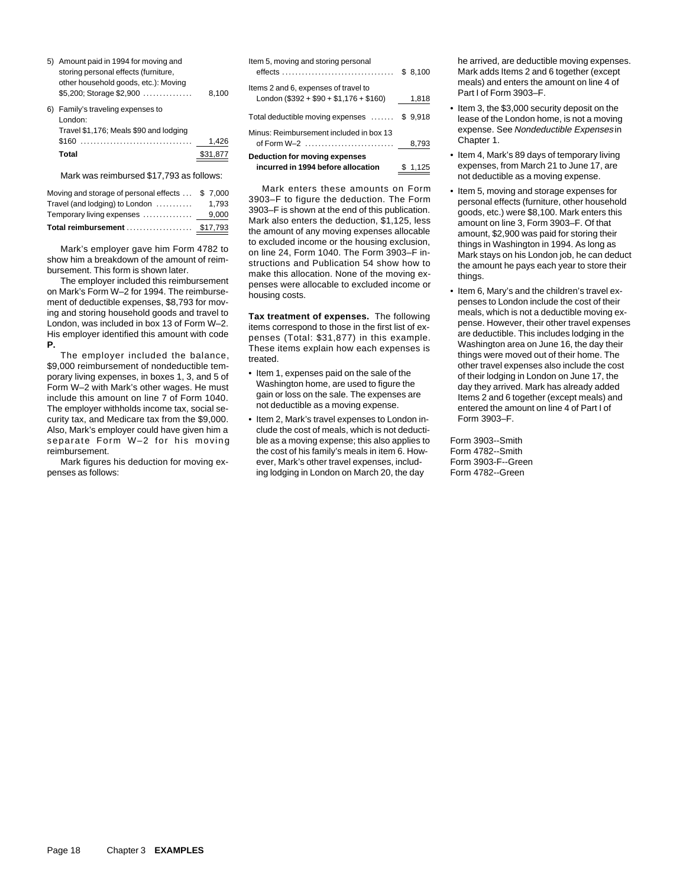| 5) Amount paid in 1994 for moving and  |       |
|----------------------------------------|-------|
| storing personal effects (furniture,   |       |
| other household goods, etc.): Moving   |       |
| \$5,200; Storage $$2,900$              | 8.100 |
| 6) Family's traveling expenses to      |       |
| London:                                |       |
| Travel \$1,176; Meals \$90 and lodging |       |
| \$160                                  | 1.426 |
| Total                                  |       |

Mark was reimbursed \$17,793 as follows:

| Moving and storage of personal effects  \$7,000 |          |
|-------------------------------------------------|----------|
| Travel (and lodging) to London                  | 1.793    |
| Temporary living expenses                       | 9,000    |
| Total reimbursement                             | \$17,793 |

curity tax, and Medicare tax from the \$9,000. • Item 2, Mark's travel expenses to London in- Form 3903–F. Also, Mark's employer could have given him a clude the cost of meals, which is not deductiseparate Form W-2 for his moving ble as a moving expense; this also applies to Form 3903--Smith reimbursement. reimbursement. the cost of his family's meals in item 6. How-

penses as follows: ing lodging in London on March 20, the day Form 4782--Green

| Amount paid in 1994 for moving and<br>storing personal effects (furniture,<br>other household goods, etc.): Moving |          | Item 5, moving and storing personal<br>$effects \dots \dots \dots \dots \dots \dots \dots \dots \dots \dots \dots$ | \$8.100 | he arrived, are deductible moving expens<br>Mark adds Items 2 and 6 together (excep)<br>meals) and enters the amount on line 4 of |
|--------------------------------------------------------------------------------------------------------------------|----------|--------------------------------------------------------------------------------------------------------------------|---------|-----------------------------------------------------------------------------------------------------------------------------------|
| \$5,200; Storage $$2,900$                                                                                          | 8,100    | Items 2 and 6, expenses of travel to<br>London $(\$392 + \$90 + \$1,176 + \$160)$                                  | 1,818   | Part I of Form 3903-F.                                                                                                            |
| Family's traveling expenses to<br>London:                                                                          |          | Total deductible moving expenses                                                                                   | \$9.918 | • Item 3, the \$3,000 security deposit on the<br>lease of the London home, is not a movine                                        |
| Travel \$1,176; Meals \$90 and lodging                                                                             |          | Minus: Reimbursement included in box 13                                                                            |         | expense. See Nondeductible Expenses in<br>Chapter 1.                                                                              |
| Total                                                                                                              | \$31,877 | <b>Deduction for moving expenses</b>                                                                               |         | • Item 4, Mark's 89 days of temporary living<br>oxpanses from March 21 to June 17 are                                             |

Mark enters these amounts on Form • Item 5, moving and storage expenses for<br>3903–F to figure the deduction. The Form personal effects (furniture other househo 3903–F to figure the deduction. The Form personal effects (furniture, other household<br>3903–F is shown at the end of this publication. personal effects (furniture, other household Temporary living expenses .............. . 9,000 3903–F is shown at the end of this publication. goods, etc.) were \$8,100. Mark enters this Mark also enters the deduction, \$1,125, less amount on line 3, Form 3903–F. Of that **Total reimbursement** ................... . \$17,793 the amount of any moving expenses allocable amount, \$2,900 was paid for storing their Mark's employer gave him Form 4782 to<br>
show him a breakdown of the amount of reim-<br>
bursement. This form is shown later.<br>
The employer included this reimbursement<br>
on Mark's Form W-2 for 1994. The reimbursement<br>
on Mark's

- 
- Mark figures his deduction for moving ex- ever, Mark's other travel expenses, includ- Form 3903-F--Green

he arrived, are deductible moving expenses. Mark adds Items 2 and 6 together (except

- $\bullet$  Item 3, the \$3,000 security deposit on the lease of the London home, is not a moving expense. See Nondeductible Expenses in<br>Chanter 1
- **Item 4, Mark's 89 days of temporary living incurred in 1994 before allocation**  $\underbrace{\$ 1,125}_{\$}$  expenses, from March 21 to June 17, are not deductible as a moving expense.
	-
- ing and storing household goods and travel to<br>
London, was included in box 13 of Form W-2.<br> **P.**<br>
The employer included the balance,<br>
Suppose the state of the state of exception and the state of the state of the state of t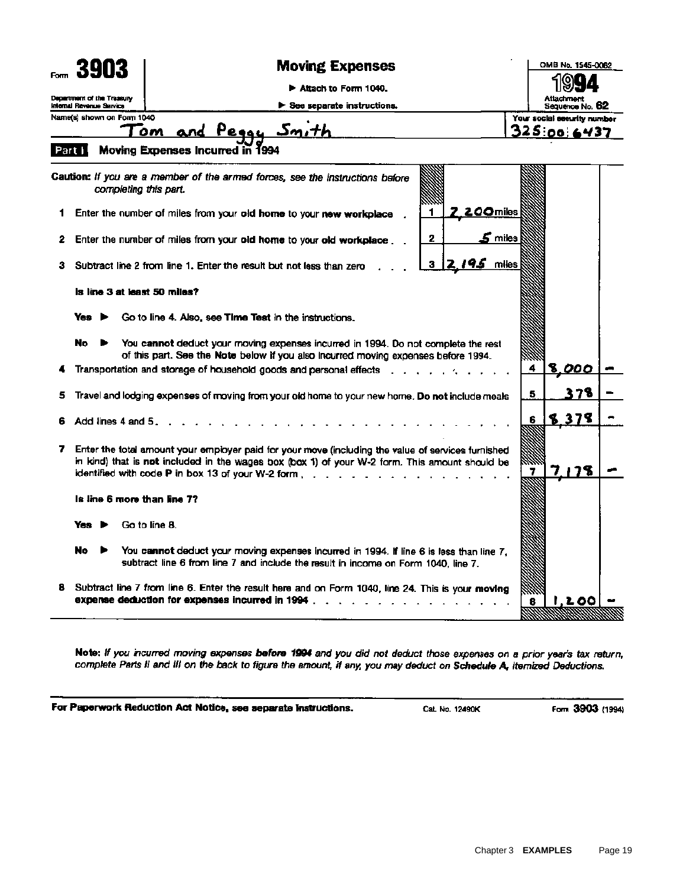|        | 3903                                                   |                              |     |                                                                      |              | <b>Moving Expenses</b>                                                                                                                                                                               |   |     |                        |                | OMB No. 1545-0062           |     |  |  |
|--------|--------------------------------------------------------|------------------------------|-----|----------------------------------------------------------------------|--------------|------------------------------------------------------------------------------------------------------------------------------------------------------------------------------------------------------|---|-----|------------------------|----------------|-----------------------------|-----|--|--|
|        |                                                        |                              |     |                                                                      |              | Attach to Form 1040.                                                                                                                                                                                 |   |     |                        |                |                             |     |  |  |
|        | Department of the Treasury<br>Internal Revenue Service |                              |     |                                                                      |              | See separate instructions.                                                                                                                                                                           |   |     |                        |                | Sequence No. 62             |     |  |  |
|        | Name(s) shown on Form 1040                             | <u>om</u>                    | and | Peggy                                                                | <u>Smith</u> |                                                                                                                                                                                                      |   |     |                        | 325 <u>:00</u> | Your social security number | 437 |  |  |
| Part I |                                                        |                              |     | Moving Expenses Incurred in 1994                                     |              |                                                                                                                                                                                                      |   |     |                        |                |                             |     |  |  |
|        |                                                        | completing this part.        |     |                                                                      |              | Caution: If you are a member of the armed forces, see the instructions before                                                                                                                        |   |     |                        |                |                             |     |  |  |
| 1.     |                                                        |                              |     |                                                                      |              | Enter the number of miles from your old home to your new workplace                                                                                                                                   |   |     | <b>2.200 miles</b>     |                |                             |     |  |  |
| 2      |                                                        |                              |     |                                                                      |              | Enter the number of miles from your old home to your old workplace.                                                                                                                                  | 2 |     | $\boldsymbol{5}$ miles |                |                             |     |  |  |
|        |                                                        |                              |     | Subtract line 2 from line 1. Enter the result but not less than zero |              |                                                                                                                                                                                                      | 3 | 195 | miles                  |                |                             |     |  |  |
|        |                                                        | is line 3 at least 50 miles? |     |                                                                      |              |                                                                                                                                                                                                      |   |     |                        |                |                             |     |  |  |
|        | Yes                                                    |                              |     | Go to line 4. Also, see Time Test in the instructions.               |              |                                                                                                                                                                                                      |   |     |                        |                |                             |     |  |  |
|        | No                                                     |                              |     |                                                                      |              | You cannot deduct your moving expenses incurred in 1994. Do not complete the rest<br>of this part. See the Note below if you also incurred moving expenses before 1994.                              |   |     |                        |                |                             |     |  |  |
|        |                                                        |                              |     | Transportation and storage of household goods and personal effects   |              |                                                                                                                                                                                                      |   |     |                        | 4              | <u>8.000</u>                |     |  |  |
| 5      |                                                        |                              |     |                                                                      |              | Travel and lodging expenses of moving from your old home to your new home. Do not include meals                                                                                                      |   |     |                        | 5              | 378                         |     |  |  |
|        |                                                        | Add lines 4 and 5.           |     |                                                                      |              |                                                                                                                                                                                                      |   |     |                        | 6              | 8378                        |     |  |  |
| 7.     |                                                        |                              |     | identified with code $P$ in box 13 of your W-2 form, $\ldots$        |              | Enter the total amount your employer paid for your move (including the value of services furnished<br>in kind) that is not included in the wages box (box 1) of your W-2 form. This amount should be |   |     |                        | 7              | 78                          |     |  |  |
|        |                                                        | Is line 6 more than line 7?  |     |                                                                      |              |                                                                                                                                                                                                      |   |     |                        |                |                             |     |  |  |
|        | Yes                                                    | Go to line 8.                |     |                                                                      |              |                                                                                                                                                                                                      |   |     |                        |                |                             |     |  |  |
|        | No                                                     |                              |     |                                                                      |              | You cannot deduct your moving expenses incurred in 1994. If line 6 is less than line 7.<br>subtract line 6 from line 7 and include the result in income on Form 1040, line 7.                        |   |     |                        |                |                             |     |  |  |
| 8      |                                                        |                              |     | expense deduction for expenses incurred in 1994                      |              | Subtract line 7 from line 6. Enter the result here and on Form 1040, line 24. This is your moving                                                                                                    |   |     |                        | 8              | I . 2 OC                    |     |  |  |

Note: If you incurred moving expenses before 1994 and you did not deduct those expenses on a prior year's tax return, complete Parts II and III on the back to figure the amount, if any, you may deduct on Schedule A, Itemized Deductions.

For Paperwork Reduction Act Notice, see separate instructions.

Cat. No. 12490K

Form 3903 (1994)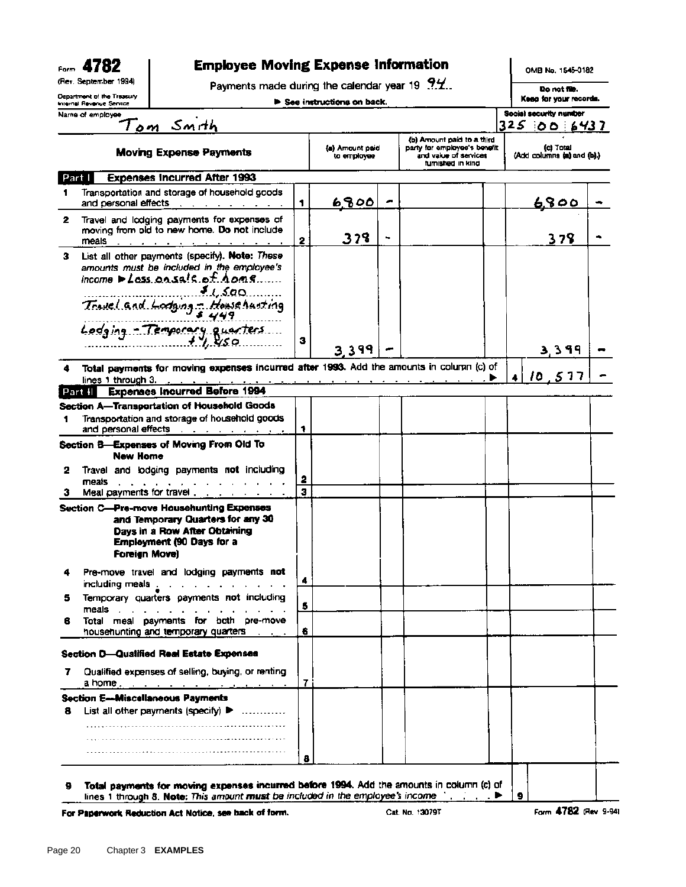|                                                                                                     | Form 4782            | <b>Employee Moving Expense Information</b>                                                                                                                                                         |                                                                                    |                                |   |                                                                                                          |   | OMB No. 1545-0182                       |  |  |
|-----------------------------------------------------------------------------------------------------|----------------------|----------------------------------------------------------------------------------------------------------------------------------------------------------------------------------------------------|------------------------------------------------------------------------------------|--------------------------------|---|----------------------------------------------------------------------------------------------------------|---|-----------------------------------------|--|--|
| (Rev. September 1994)<br>Department of the Treasury<br>internal Revenue Service<br>Name of employee |                      |                                                                                                                                                                                                    | Payments made during the calendar year 19 $.9.41$ .<br>> See instructions on back. |                                |   |                                                                                                          |   | Do not file.<br>Keep for your records.  |  |  |
|                                                                                                     |                      |                                                                                                                                                                                                    |                                                                                    |                                |   |                                                                                                          |   | Social security number                  |  |  |
|                                                                                                     |                      | Tom Smith                                                                                                                                                                                          |                                                                                    |                                |   |                                                                                                          |   | 325 OD 6437                             |  |  |
|                                                                                                     |                      | <b>Moving Expense Payments</b>                                                                                                                                                                     |                                                                                    | (a) Amount paid<br>to employee |   | (b) Amount paid to a third<br>party for employee's benefit<br>and value of services<br>furnished in kind |   | (c) Total<br>(Add columns (a) and (b).) |  |  |
| Part I                                                                                              |                      | <b>Expenses Incurred After 1993</b>                                                                                                                                                                |                                                                                    |                                |   |                                                                                                          |   |                                         |  |  |
| 1                                                                                                   | and personal effects | Transportation and storage of household goods<br>and a state of the state of the state                                                                                                             | 1                                                                                  | 6300                           |   |                                                                                                          |   | 6800                                    |  |  |
| 2                                                                                                   | meals                | Travel and lodging payments for expenses of<br>moving from old to new home. Do not include                                                                                                         | $\overline{2}$                                                                     | 378                            | - |                                                                                                          |   | 378                                     |  |  |
| з                                                                                                   |                      | List all other payments (specify). Note: These<br>amounts must be included in the employee's<br>income $\blacktriangleright$ Lass an sals of home<br>51500                                         |                                                                                    |                                |   |                                                                                                          |   |                                         |  |  |
|                                                                                                     |                      | Travel and Lodging - Househusting<br>Lodging - Temporary quarters                                                                                                                                  | з                                                                                  | 3.399                          |   |                                                                                                          |   | 3399                                    |  |  |
| 4                                                                                                   | lines 1 through 3.   | Total payments for moving expenses incurred after 1993. Add the amounts in column (c) of                                                                                                           |                                                                                    |                                |   |                                                                                                          |   | 10,577                                  |  |  |
| Part II                                                                                             |                      | <b>Expenses Incurred Before 1994</b>                                                                                                                                                               |                                                                                    |                                |   |                                                                                                          |   |                                         |  |  |
| 1                                                                                                   | and personal effects | Section A-Transportation of Household Goods<br>Transportation and storage of household goods<br>the company of the company                                                                         | 1                                                                                  |                                |   |                                                                                                          |   |                                         |  |  |
|                                                                                                     | New Home             | Section B-Expenses of Moving From Old To                                                                                                                                                           |                                                                                    |                                |   |                                                                                                          |   |                                         |  |  |
| 2<br>з                                                                                              | meals                | Travel and lodging payments not including<br>the contract of the contract of the contract of the contract of the contract of the contract of the contract of<br>Meal payments for travel           | 2<br>3                                                                             |                                |   |                                                                                                          |   |                                         |  |  |
|                                                                                                     |                      | Section C-Pre-move Househunting Expenses<br>and Temporary Quarters for any 30<br>Days in a Row After Obtaining<br><b>Employment (90 Days for a</b><br>Foreign Move)                                |                                                                                    |                                |   |                                                                                                          |   |                                         |  |  |
| 4                                                                                                   |                      | Pre-move travel and lodging payments not<br>including meals [1] and a contract of the state of the state of the state of the state of the state of the state of                                    | 41                                                                                 |                                |   |                                                                                                          |   |                                         |  |  |
| 5.                                                                                                  |                      | Temporary quarters payments not including<br>meals $\cdots$                                                                                                                                        | 5 <sup>1</sup>                                                                     |                                |   |                                                                                                          |   |                                         |  |  |
| 6                                                                                                   |                      | Total meal payments for both pre-move                                                                                                                                                              | 6.                                                                                 |                                |   |                                                                                                          |   |                                         |  |  |
|                                                                                                     |                      | <b>Section D-Qualified Real Estate Expenses</b>                                                                                                                                                    |                                                                                    |                                |   |                                                                                                          |   |                                         |  |  |
| 7                                                                                                   |                      | Qualified expenses of selling, buying, or renting<br>a home. . <u>.</u>                                                                                                                            | $\mathbf{7}$                                                                       |                                |   |                                                                                                          |   |                                         |  |  |
| 8                                                                                                   |                      | <b>Section E-Miscellaneous Payments</b><br>List all other payments (specify) >                                                                                                                     |                                                                                    |                                |   |                                                                                                          |   |                                         |  |  |
|                                                                                                     |                      |                                                                                                                                                                                                    | 8                                                                                  |                                |   |                                                                                                          |   |                                         |  |  |
| 9                                                                                                   |                      | Total payments for moving expenses incurred before 1994. Add the amounts in column (c) of<br>lines 1 through 8. Note: This amount must be included in the employee's income $\ddot{\phantom{a}}$ . |                                                                                    |                                |   |                                                                                                          | 9 |                                         |  |  |

For Paperwork Reduction Act Notice, see back of form.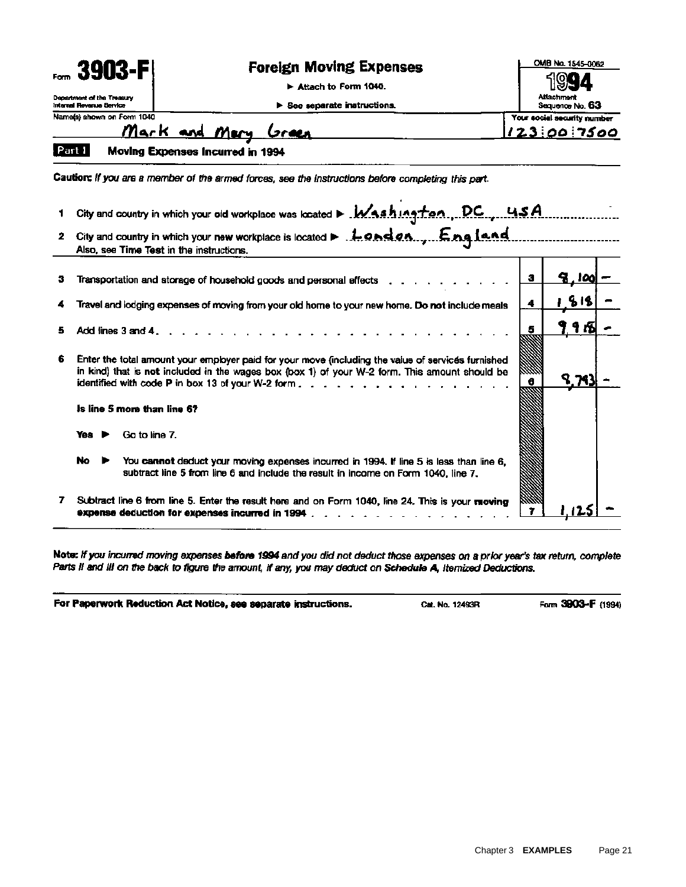| <b>Egyrn 3903-F</b><br>Department of the Treasury<br>Internal Revenue Service<br>Name(s) shown on Form 1040 |                   | <b>Foreign Moving Expenses</b><br>$\blacktriangleright$ Attach to Form 1040.<br>> See separate instructions.                                                                                                                                               |        | OMB No. 1545-0062<br>Attachment<br>Sequence No. 63<br>Your social security number |  |  |
|-------------------------------------------------------------------------------------------------------------|-------------------|------------------------------------------------------------------------------------------------------------------------------------------------------------------------------------------------------------------------------------------------------------|--------|-----------------------------------------------------------------------------------|--|--|
| Part I                                                                                                      |                   | Mark and Mery Green                                                                                                                                                                                                                                        |        | 123:00:7500                                                                       |  |  |
|                                                                                                             |                   | Moving Expenses incurred in 1994                                                                                                                                                                                                                           |        |                                                                                   |  |  |
|                                                                                                             |                   | Caution: If you are a member of the armed forces, see the instructions before completing this part.                                                                                                                                                        |        |                                                                                   |  |  |
|                                                                                                             |                   | City and country in which your old workplace was located $\blacktriangleright$ $\mathcal{N}$ as $h$ in $g$ f en $\Box$ $\Box$ $\Box$ $\Box$                                                                                                                |        |                                                                                   |  |  |
| 2                                                                                                           |                   | City and country in which your new workplace is located $\blacktriangleright$ . $\blacktriangle$ and an., $\mathop{\mathsf{End}}\nolimits$ and<br>Also, see Time Test in the instructions.                                                                 |        |                                                                                   |  |  |
| з                                                                                                           |                   | Transportation and storage of household goods and personal effects                                                                                                                                                                                         | з      | <u>8,100</u>                                                                      |  |  |
|                                                                                                             |                   | Travel and lodging expenses of moving from your old home to your new home. Do not include meals                                                                                                                                                            | 4      | 818                                                                               |  |  |
| 5                                                                                                           | Add lines 3 and 4 |                                                                                                                                                                                                                                                            | 5      | 9 ร.ช                                                                             |  |  |
| 6                                                                                                           |                   | Enter the total amount your employer paid for your move (including the value of services furnished<br>in kind) that is not included in the wages box (box 1) of your W-2 form. This amount should be<br>identified with code P in box 13 of your W-2 form. | m<br>θ | 9.73                                                                              |  |  |
|                                                                                                             |                   | is line 5 more than line 6?                                                                                                                                                                                                                                |        |                                                                                   |  |  |
|                                                                                                             | Yes               | Go to line 7.                                                                                                                                                                                                                                              |        |                                                                                   |  |  |
|                                                                                                             | No                | You cannot deduct your moving expenses incurred in 1994. If line 5 is less than line 6,<br>subtract line 5 from line 6 and include the result in income on Form 1040, line 7.                                                                              |        |                                                                                   |  |  |
| z.                                                                                                          |                   | Subtract line 6 from line 5. Enter the result here and on Form 1040, line 24. This is your moving<br>expense deduction for expenses incurred in 1994                                                                                                       |        |                                                                                   |  |  |

Note: If you incurred moving expenses before 1994 and you did not deduct those expenses on a prior year's tax return, complete<br>Parts II and III on the back to figure the amount, if any, you may deduct on Schedule A, Itemiz

| For Paperwork Reduction Act Notice, see separate instructions. |  |  |  |
|----------------------------------------------------------------|--|--|--|
|----------------------------------------------------------------|--|--|--|

Cat. No. 12493R

Form 3903-F (1994)